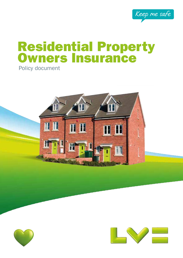

# Residential Property **Owners Insurance**

Policy document





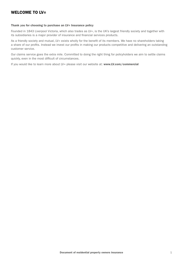### WELCOME TO IV=

#### Thank you for choosing to purchase an LV= Insurance policy

Founded in 1843 Liverpool Victoria, which also trades as LV=, is the UK's largest friendly society and together with its subsidiaries is a major provider of insurance and financial services products.

As a friendly society and mutual, LV= exists wholly for the benefit of its members. We have no shareholders taking a share of our profits. Instead we invest our profits in making our products competitive and delivering an outstanding customer service.

Our claims service goes the extra mile. Committed to doing the right thing for policyholders we aim to settle claims quickly, even in the most difficult of circumstances.

If you would like to learn more about LV= please visit our website at: www.LV.com/commercial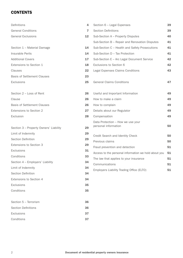### **CONTENTS**

| Definitions                              | 4              | Section 6 - Legal Expenses                                | 39 |
|------------------------------------------|----------------|-----------------------------------------------------------|----|
| <b>General Conditions</b>                | $\overline{7}$ | <b>Section Definitions</b>                                | 39 |
| <b>General Exclusions</b>                | 12             | Sub-Section A - Property Disputes                         | 40 |
|                                          |                | Sub-Section B - Repair and Renovation Disputes            | 41 |
| Section 1 - Material Damage              | 14             | Sub-Section C - Health and Safety Prosecutions            | 41 |
| Insurable Perils                         | 14             | Sub-Section D - Tax Protection                            | 41 |
| <b>Additional Covers</b>                 | 17             | Sub-Section E - Arc Legal Document Service                | 42 |
| Extensions to Section 1                  | 18             | Exclusions to Section 6                                   | 42 |
| Clauses                                  | 22             | Legal Expenses Claims Conditions                          | 43 |
| <b>Basis of Settlement Clauses</b>       | 23             |                                                           |    |
| <b>Exclusions</b>                        | 25             | <b>General Claims Conditions</b>                          | 47 |
|                                          |                |                                                           |    |
| Section 2 - Loss of Rent                 | 26             | Useful and Important Information                          | 49 |
| Clause                                   | 26             | How to make a claim                                       | 49 |
| <b>Basis of Settlement Clauses</b>       | 26             | How to complain                                           | 49 |
| Extensions to Section 2                  | 27             | Details about our Regulator                               | 49 |
| Exclusion                                | 28             | Compensation                                              | 49 |
| Section 3 - Property Owners' Liability   | 29             | Data Protection - How we use your<br>personal information | 50 |
|                                          | 29             |                                                           |    |
| Limit of Indemnity<br>Section Definition | 29             | Credit Search and Identity Check                          | 50 |
|                                          |                | Previous claims                                           | 50 |
| Extensions to Section 3                  | 29             | Fraud prevention and detection                            | 51 |
| Exclusions                               | 31             | Access to the personal information we hold about you      | 51 |
| Conditions                               | 33             | The law that applies to your insurance                    | 51 |
| Section 4 - Employers' Liability         | 34             | Communications                                            | 51 |
| Limit of Indemnity                       | 34             | Employers Liability Trading Office (ELTO)                 | 51 |
| Section Definition                       | 34             |                                                           |    |
| Extensions to Section 4                  | 34             |                                                           |    |
| Exclusions                               | 35             |                                                           |    |
| Conditions                               | 35             |                                                           |    |
| Section 5 - Terrorism                    | 36             |                                                           |    |
| <b>Section Definitions</b>               | 36             |                                                           |    |
| Exclusions                               | 37             |                                                           |    |
| Conditions                               | 37             |                                                           |    |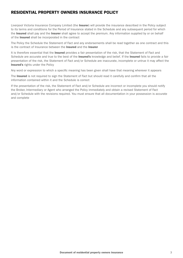### RESIDENTIAL PROPERTY OWNERS INSURANCE POLICY

Liverpool Victoria Insurance Company Limited (the Insurer) will provide the insurance described in the Policy subject to its terms and conditions for the Period of Insurance stated in the Schedule and any subsequent period for which the Insured shall pay and the Insurer shall agree to accept the premium. Any information supplied by or on behalf of the Insured shall be incorporated in the contract

The Policy the Schedule the Statement of Fact and any endorsements shall be read together as one contract and this is the contract of Insurance between the Insured and the Insurer

It is therefore essential that the **Insured** provides a fair presentation of the risk, that the Statement of Fact and Schedule are accurate and true to the best of the Insured's knowledge and belief. If the Insured fails to provide a fair presentation of the risk, the Statement of Fact and/or Schedule are inaccurate, incomplete or untrue it may affect the Insured's rights under the Policy

Any word or expression to which a specific meaning has been given shall have that meaning wherever it appears

The Insured is not required to sign the Statement of Fact but should read it carefully and confirm that all the information contained within it and the Schedule is correct

If the presentation of the risk, the Statement of Fact and/or Schedule are incorrect or incomplete you should notify the Broker, Intermediary or Agent who arranged the Policy immediately and obtain a revised Statement of Fact and/or Schedule with the revisions required. You must ensure that all documentation in your possession is accurate and complete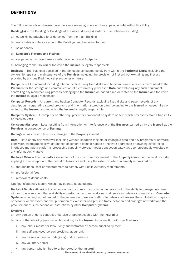### **DEFINITIONS**

The following words or phrases have the same meaning wherever they appear, in **bold**, within this Policy

**Building(s)** – The Building or Buildings at the risk address(es) stated in the Schedule including

- a) outbuildings attached to or detached from the main Building
- b) walls gates and fences around the Buildings and belonging to them
- c) solar panels
- d) Landlord's Fixtures and Fittings
- e) car parks yards paved areas roads pavements and footpaths

all belonging to the **Insured** or for which the **Insured** is legally responsible

Business – The Business specified in the Schedule conducted solely from within the Territorial Limits including the ownership repair and maintenance of the **Premises** including the provision of first aid but excluding any first aid provided by any qualified medical practitioner or nurse

**Computer** – All equipment including interconnected wiring fixed disks and telecommunications equipment used at the Premises for the storage and communication of electronically processed Data but excluding any such equipment controlling any manufacturing process belonging to the Insured or leased hired or rented to the Insured and for which the **Insured** is legally responsible

**Computer Records** – All current and backup Computer Records excluding fixed disks and paper records of any description incorporating stored programs and information stored on them belonging to the Insured or leased hired or rented to the **Insured** and for which the **Insured** is legally responsible

Computer System – A computer or other equipment or component or system or item which processes stores transmits or receives Data

Consequential Loss – Loss resulting from interruption or interference with the Business carried on by the Insured at the Premises in consequence of Damage

Damage – Loss destruction of or damage to the Property insured

Data – Data of any sort whatever including without limitation tangible or intangible data and any programs or software bandwidth cryptographic keys databases documents domain names or network addresses or anything similar files interfaces metadata platforms processing capability storage media transaction gateways user credentials websites or any information whatever

Declared Value – The Insured's assessment of the cost of reinstatement of the Property insured at the level of costs applying at the inception of the Period of Insurance including the extent to which indemnity is provided for

- a) the additional cost of reinstatement to comply with Public Authority requirements
- b) professional fees
- c) removal of debris costs

ignoring inflationary factors which may operate subsequently

Denial of Service Attack – Any actions or instructions constructed or generated with the ability to damage interfere with or otherwise affect the availability or performance of networks network services network connectivity or **Computer** Systems including but not limited to the generation of excess traffic into network addresses the exploitation of system or network weaknesses and the generation of excess or non-genuine traffic between and amongst networks and the procurement of such actions or instructions by other Computer Systems

#### Employee –

- a) Any person under a contract of service or apprenticeship with the **Insured** or
- b) any of the following persons whilst working for the **Insured** in connection with the **Business** 
	- i. any labour master or labour only subcontractor or person supplied by them
	- ii. any self employed person providing labour only
	- iii. any trainee or person undergoing work experience
	- iv. any voluntary helper
	- v. any person who is hired to or borrowed by the Insured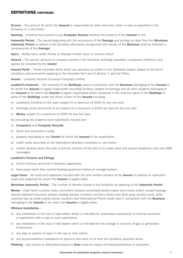### DEFINITIONS CONTINUED

**Excess** – The amount for which the **Insured** is responsible for each and every claim or loss as specified in the Schedule or in the Policy

Hacking – Unauthorised access to any Computer System whether the property of the Insured or not

Indemnity Period – The period beginning with the occurrence of the Damage and ending not later than the Maximum Indemnity Period as stated in the Schedule afterwards during which the results of the Business shall be affected in consequence of the **Damage** 

Injury – Bodily injury death illness or disease mental injury or nervous shock

Insured – The person persons or company named in the Schedule including subsidiary companies notified to and agreed as accepted by the Insurer

Insured Perils - Those Insurable Perils which are operative as stated in the Schedule subject always to the terms conditions and exclusions applying to the Insurable Peril and of Section 1 and the Policy

Insurer – Liverpool Victoria Insurance Company Limited

Landlord's Contents – The contents of the Buildings used in connection with the Business belonging to the Insured or for which the Insured is legally responsible including furniture carpets furnishings and all other property belonging to the Insured or for which the Insured is legally responsible whilst contained in the common parts of the Buildings or parts of the **Buildings** under the direct control of the **Insured** including

- a) Landlord's Contents in the open subject to a maximum of £500 for any one loss
- b) Paintings prints and works of art subject to a maximum of £500 per item for any one loss
- c) Money subject to a maximum of £500 for any one loss

but excluding any property more specifically insured and

- a) Computers and Computer Records
- b) Stock and materials in trade
- c) property belonging to any **Tenant** for which the **Insured** is not responsible
- d) credit cards securities of any description jewellery curiosities or rare books
- e) mobile devices where the sole or primary function of the item is to make send and receive telephone calls and SMS messages

#### Landlord's Fixtures and Fittings

- a) built-in furniture and built-in domestic appliances
- b) fixed pipes tanks fires central heating equipment boilers or storage heaters

Legal Costs – All costs and expenses incurred with the prior written consent of the Insurer in addition to claimant's costs and expenses for which the Insured is legally liable

Maximum Indemnity Period – The number of Months stated in the Schedule as applying to the Indemnity Period

Money – Cash bank currency notes uncrossed cheques uncrossed postal orders and money orders unused postage stamps National Insurance stamps trading stamps luncheon vouchers lottery and other prize scratch cards utility vouchers top up cards mobile phone vouchers and International Phone Cards held in connection with the **Business** belonging to the **Insured** or for which the **Insured** is legally liable

#### Offshore Installation –

- a) Any installation in the sea or tidal waters which is intended for underwater exploitation of mineral resources or exploration with a view to such exploitation
- b) any installation in the sea or tidal waters which is intended for the storage or recovery of gas or generation of electricity
- c) any pipe or system of pipes in the sea or tidal waters
- d) any accommodation installation for persons who work on or from the locations specified above

**Phishing** – any access or attempted access to **Data** made by means of misrepresentation or deception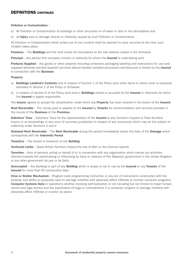### DEFINITIONS CONTINUED

#### Pollution or Contamination –

- a) All Pollution or Contamination of buildings or other structures or of water or land or the atmosphere and
- b) all **Injury** loss or damage directly or indirectly caused by such Pollution or Contamination

All Pollution or Contamination which arises out of one incident shall be deemed to have occurred at the time such incident takes place

**Premises** – The **Buildings** and the land inside the boundaries at the risk address stated in the Schedule

**Principal** – Any person firm company ministry or authority for whom the **Insured** is undertaking work

**Products Supplied** – Any goods or other property including containers packaging labelling and instructions for use sold supplied delivered erected repaired serviced altered treated installed processed manufactured or tested by the Insured in connection with the **Business** 

#### Property

- a) Buildings Landlord's Contents and in respect of Section 1 of the Policy such other items to which cover is expressly extended in Section 1 of the Policy or Schedule
- b) in respect of Section 6 of the Policy land and/or **Buildings** owned or occupied by the Insured or otherwise for which the Insured is legally responsible

The Insurer agrees to accept the classification under which any Property has been entered in the books of the Insured

Rent Receivable – The money paid or payable to the Insured by Tenants for accommodation and services provided in the course of the Business at the Premises

Solicitors' Fees - Solicitors' Fees for the representation of the Insured at any Coroner's Inquest or Fatal Accident Inquiry or at proceedings in any court of summary jurisdiction in respect of any occurrence which may be the subject of indemnity under Sections 3 and 4

Standard Rent Receivable – The Rent Receivable during the period immediately before the date of the Damage which corresponds with the Indemnity Period

Tenant(s) – The tenant or lessee(s) of any Building

Territorial Limits – Great Britain Northern Ireland the Isle of Man or the Channel Islands

Terrorism - Acts of persons acting on behalf of or in connection with any organisation which carries out activities directed towards the overthrowing or influencing by force or violence of Her Majesty's government in the United Kingdom or any other government de jure or de facto

Unoccupied – Any Building or part of any Building which is empty or not in use by the Insured or any Tenants of the Insured for more than 60 consecutive days

Virus or Similar Mechanism - Program code programming instruction or any set of instructions constructed with the purpose and ability or purposely used to damage interfere with adversely affect infiltrate or monitor computer programs **Computer Systems Data** or operations whether involving self-replication or not including but not limited to trojan horses worms and logic bombs and the exploitation of bugs or vulnerabilities in a computer program to damage interfere with adversely affect infiltrate or monitor as above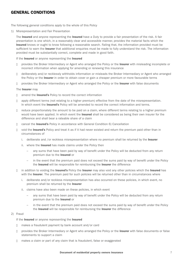### GENERAL CONDITIONS

The following general conditions apply to the whole of this Policy

1) Misrepresentation and Fair Presentation

The Insured and anyone representing the Insured have a Duty to provide a fair presentation of the risk. A fair presentation is one which, in a reasonably clear and accessible manner, provides the material facts which the Insured knows or ought to know following a reasonable search. Failing that, the information provided must be sufficient to warn the **Insurer** that additional enquiries must be made to fully understand the risk. The information provided must be substantially correct, complete and made in good faith.

#### If the **Insured** or anyone representing the **Insured**

- n provides the Broker Intermediary or Agent who arranged the Policy or the Insurer with misleading incomplete or incorrect information when applying for amending or renewing this insurance
- n deliberately and/or recklessly withholds information or misleads the Broker Intermediary or Agent who arranged the Policy or the Insurer in order to obtain cover or gain a cheaper premium or more favourable terms
- n provides the Broker Intermediary or Agent who arranged the Policy or the Insurer with false documents

#### The **Insurer** may

- □ amend the Insured's Policy to record the correct information
- n apply different terms (not relating to a higher premium) effective from the date of the misrepresentation. In which event the **Insured's** Policy will be amended to record the correct information and terms.
- n reduce proportionately the amount to be paid on a claim, where different terms relating to a higher premium would have been applied. In which event the **Insured** shall be considered as being their own insurer for the difference and shall bear a rateable share of a claim
- n cancel the **Insured's** Policy in accordance with General Condition 6) Cancellation
- n void the Insured's Policy and treat it as if it had never existed and return the premium paid other than in circumstances of
	- i. deliberate and /or reckless misrepresentation where no premium shall be returned by the **Insurer**
	- ii. where the Insured has made claims under the Policy then
		- any sums that have been paid by way of benefit under the Policy will be deducted from any return premium due to the Insured or
		- in the event that the premium paid does not exceed the sums paid by way of benefit under the Policy the Insured will be responsible for reimbursing the Insurer the difference
- in addition to voiding the Insured's Policy the Insurer may also void any other policies which the Insured has with the Insurer. The premium paid for such policies will be returned other than in circumstances where
	- i. deliberate and/or reckless misrepresentation has also occurred on these policies, in which event, no premium shall be returned by the Insurer
	- ii. claims have also been made on these policies, in which event
		- any sums that have been paid by way of benefit under the Policy will be deducted from any return premium due to the Insured or
		- in the event that the premium paid does not exceed the sums paid by way of benefit under the Policy the Insured will be responsible for reimbursing the Insurer the difference

#### 2) Fraud

#### If the **Insured** or anyone representing the **Insured**

- □ makes a fraudulent payment by bank account and/or card
- n provides the Broker Intermediary or Agent who arranged the Policy or the Insurer with false documents or false statements to support a claim
- $\Box$  makes a claim or part of any claim that is fraudulent, false or exaggerated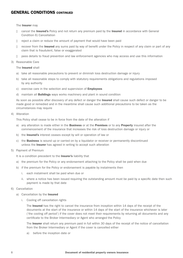The **Insurer** may

- n cancel the **Insured's** Policy and not return any premium paid by the **Insured** in accordance with General Condition 6) Cancellation
- n reject a claim or reduce the amount of payment that would have been paid
- n recover from the **Insured** any sums paid by way of benefit under the Policy in respect of any claim or part of any claim that is fraudulent, false or exaggerated
- n pass details to fraud prevention and law enforcement agencies who may access and use this information
- 3) Reasonable Care

The Insured shall

- a) take all reasonable precautions to prevent or diminish loss destruction damage or injury
- b) take all reasonable steps to comply with statutory requirements obligations and regulations imposed by any authority
- c) exercise care in the selection and supervision of **Employees**
- d) maintain all Buildings ways works machinery and plant in sound condition

As soon as possible after discovery of any defect or danger the Insured shall cause such defect or danger to be made good or remedied and in the meantime shall cause such additional precautions to be taken as the circumstances may require

4) Alteration

This Policy shall cease to be in force from the date of the alteration if

- a) any alteration is made either in the **Business** or at the **Premises** or to any **Property** insured after the commencement of the insurance that increases the risk of loss destruction damage or injury or
- b) the Insured's interest ceases except by will or operation of law or
- c) the **Business** is wound up or carried on by a liquidator or receiver or permanently discontinued unless the **Insurer** has agreed in writing to accept such alteration
- 5) Payment of Premium
	- It is a condition precedent to the Insurer's liability that
	- a) the premium for the Policy or any endorsement attaching to the Policy shall be paid when due
	- b) if the premium for the Policy or endorsement is payable by instalments then
		- i. each instalment shall be paid when due or
		- ii. where a notice has been issued requiring the outstanding amount must be paid by a specific date then such payment is made by that date
- 6) Cancellation
	- a) Cancellation by the Insured
		- i. Cooling off cancellation rights

 The Insured has the right to cancel the insurance from inception within 14 days of the receipt of the documents at the start of the insurance or within 14 days of the start of the insurance whichever is later ('the cooling off period') if the cover does not meet their requirements by returning all documents and any certificate to the Broker Intermediary or Agent who arranged the Policy

The Insurer shall return any premium paid in full within 30 days of the receipt of the notice of cancellation from the Broker Intermediary or Agent if the cover is cancelled either

a) before the inception date or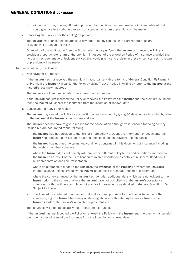- b) within the 14 day cooling off period provided that no claim has been made or incident advised that could give rise to a claim in these circumstances no return of premium will be made
- ii. Cancelling the Policy after the cooling off period

The Insured may cancel the insurance at any other time by contacting the Broker Intermediary or Agent who arranged the Policy

On receipt of the notification from the Broker Intermediary or Agent the Insurer will cancel the Policy and provide a proportionate return of the premium in respect of the unexpired Period of Insurance provided that no claim has been made or incident advised that could give rise to a claim in these circumstances no return of premium will be made

- b) Cancellation by the Insurer
	- i. Non-payment of Premium

If the Insurer has not received the premium in accordance with the terms of General Condition 5) Payment of Premium the Insurer will cancel the Policy by giving 7 days' notice in writing by letter to the Insured at the Insured's last known address

The insurance will end immediately the 7 days' notice runs out

If the **Insured** has just incepted the Policy or renewed the Policy with the **Insurer** and the premium is unpaid then the **Insurer** will cancel the insurance from the inception or renewal date

ii. Cancellation for any other reason

 The Insurer may cancel the Policy or any section or endorsement by giving 30 days' notice in writing by letter to the **Insured** at the **Insured's** last known address

The Insurer does not have to give a reason for the cancellation although valid reasons for doing so may include but are not limited to the following

- the Insured has not provided to the Broker Intermediary or Agent the information or documents the Insurer has requested as part of the terms and conditions in providing the insurance
- the **Insured** has not met the terms and conditions contained in this document of insurance including those shown on their schedule
- where the Insured does not comply with any of the different policy terms and conditions imposed by the Insurer as a result of the identification of misrepresentation as detailed in General Condition 1) Misrepresentation and Fair Presentation
- where an alteration is made to the Business the Premises or the Property or where the Insured's interest ceases unless agreed by the Insurer as detailed in General Condition 4) Alteration
- where the survey arranged by the Insurer has identified additional risks which were not evident to the Insurer prior to the survey or where the Insured have not complied with the Insurer's acceptance criteria nor with the timely completion of any risk improvements as detailed in General Condition 10) Subject to Survey
- The Insured has behaved in a manner that makes it inappropriate for the Insurer to continue the insurance, e.g. the Insured harassing or showing abusive or threatening behaviour towards the Insurer's staff or the Insurer's appointed representatives

The insurance will end immediately the 30 days' notice runs out

If the Insured has just incepted the Policy or renewed the Policy with the Insurer and the premium is unpaid then the Insurer will cancel the insurance from the inception or renewal date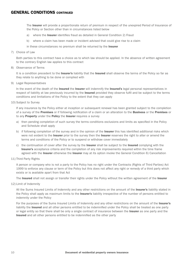The Insurer will provide a proportionate return of premium in respect of the unexpired Period of Insurance of the Policy or Section other than in circumstances listed below

- a) where the **Insurer** identifies fraud as detailed in General Condition 2) Fraud
- b) where a claim has been made or incident advised that could give rise to a claim

in these circumstances no premium shall be returned by the Insurer

7) Choice of Law

 Both parties to this contract have a choice as to which law should be applied. In the absence of written agreement to the contrary English law applies to this contract

8) Observance of Terms

It is a condition precedent to the Insurer's liability that the Insured shall observe the terms of the Policy so far as they relate to anything to be done or complied with

9) Legal Representatives

In the event of the death of the Insured the Insurer will indemnify the Insured's legal personal representatives in respect of liability at law previously incurred by the **Insured** provided they observe fulfil and be subject to the terms conditions and limitations of the Policy to the extent that they can apply

10) Subject to Survey

 If any insurance by the Policy either at inception or subsequent renewal has been granted subject to the completion of a survey of the Premises or if following notification of a claim or an alteration to the Business or the Premises or to any Property under the Policy the Insurer requires a survey

- a) then pending completion of such survey the terms conditions exclusions and limits as specified in the Policy and Schedule shall apply
- b) if following completion of the survey and in the opinion of the **Insurer** this has identified additional risks which were not evident to the Insurer prior to the survey then the Insurer reserves the right to alter or amend the terms and conditions of the Policy or to suspend or withdraw cover immediately
- c) the continuation of cover after the survey by the **Insurer** shall be subject to the **Insured** complying with the Insurer's acceptance criteria and the completion of any risk improvements required within the time frame agreed with the Insurer otherwise the Insurer may at its option invoke the General Condition 6) Cancellation
- 11) Third Party Rights

 A person or company who is not a party to the Policy has no right under the Contracts (Rights of Third Parties) Act 1999 to enforce any clause or term of the Policy but this does not affect any right or remedy of a third party which exists or is available apart from that Act

The Insured shall not assign or transfer their rights under the Policy without the written agreement of the Insurer

12) Limit of Indemnity

All the Sums Insured Limits of Indemnity and any other restrictions on the amount of the Insurer's liability stated in the Policy shall apply as maximum limits to the Insurer's liability irrespective of the number of persons entitled to indemnity under the Policy

For the purposes of the Sums Insured Limits of Indemnity and any other restrictions on the amount of the Insurer's liability the Insured and all other persons entitled to be indemnified under the Policy shall be treated as one party or legal entity so that there shall be only a single contract of insurance between the Insurer as one party and the Insured and all other persons entitled to be indemnified as the other party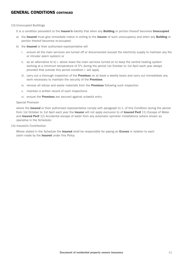#### 13) Unoccupied Buildings

- It is a condition precedent to the **Insurer's** liability that when any **Building** or portion thereof becomes **Unoccupied**
- a) the Insured must give immediate notice in writing to the Insurer of such unoccupancy and when any Building or portion thereof becomes re-occupied
- b) the **Insured** or their authorised representative will
	- i. ensure all the main services are turned off or disconnected (except the electricity supply to maintain any fire or intruder alarm system) or
	- ii. as an alternative to b) i. above leave the main services turned on to keep the central heating system working at a minimum temperature of 5°c during the period 1st October to 1st April each year always provided that outside this period condition i. will apply
	- iii. carry out a thorough inspection of the **Premises** on at least a weekly basis and carry out immediately any work necessary to maintain the security of the Premises
	- iv. remove all refuse and waste materials from the **Premises** following such inspection
	- v. maintain a written record of such inspections
	- vi. ensure the **Premises** are secured against unlawful entry

#### Special Provision

where the Insured or their authorised representative comply with paragraph b) ii. of this Condition during the period from 1st October to 1st April each year the Insurer will not apply exclusion b) of Insured Peril 11) Escape of Water and Insured Peril 12) Accidental escape of water from any automatic sprinkler installations (where shown as operative in the Schedule)

14) Insured's Contribution

Where stated in the Schedule the **Insured** shall be responsible for paying an **Excess** in relation to each claim made by the **Insured** under this Policy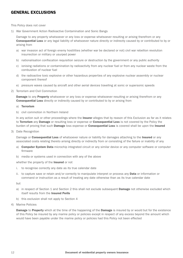### GENERAL EXCLUSIONS

This Policy does not cover

1) War Government Action Radioactive Contamination and Sonic Bangs

 Damage to any property whatsoever or any loss or expense whatsoever resulting or arising therefrom or any Consequential Loss or any legal liability of whatsoever nature directly or indirectly caused by or contributed to by or arising from

- a) war invasion act of foreign enemy hostilities (whether war be declared or not) civil war rebellion revolution insurrection or military or usurped power
- b) nationalisation confiscation requisition seizure or destruction by the government or any public authority
- c) ionising radiations or contamination by radioactivity from any nuclear fuel or from any nuclear waste from the combustion of nuclear fuel
- d) the radioactive toxic explosive or other hazardous properties of any explosive nuclear assembly or nuclear component thereof
- e) pressure waves caused by aircraft and other aerial devices travelling at sonic or supersonic speeds
- 2) Terrorism and Civil Commotion

**Damage to any Property** whatsoever or any loss or expense whatsoever resulting or arising therefrom or any Consequential Loss directly or indirectly caused by or contributed to by or arising from

- a) Terrorism
- b) civil commotion in Northern Ireland

In any action suit or other proceedings where the Insurer alleges that by reason of this Exclusion as far as it relates to Terrorism any Damage or resulting loss or expense or Consequential Loss is not covered by the Policy the burden of proving that such **Damage** loss expense or **Consequential Loss** is covered shall be upon the Insured

3) Date Recognition

Damage or Consequential Loss of whatsoever nature or liability for damages attaching to the Insured or any associated costs relating thereto arising directly or indirectly from or consisting of the failure or inability of any

- a) Computer System Data microchip integrated circuit or any similar device or any computer software or computer firmware
- b) media or systems used in connection with any of the above

whether the property of the **Insured** or not

- i. to recognise correctly any date as its true calendar date
- ii. to capture save or retain and/or correctly to manipulate interpret or process any **Data** or information or command or instruction as a result of treating any date otherwise than as its true calendar date

but

- a) in respect of Section 1 and Section 2 this shall not exclude subsequent **Damage** not otherwise excluded which itself results from the Insured Perils
- b) this exclusion shall not apply to Section 4
- 4) Marine Policies

**Damage to Property** which at the time of the happening of the **Damage** is insured by or would but for the existence of this Policy be insured by any marine policy or policies except in respect of any excess beyond the amount which would have been payable under the marine policy or policies had this Policy not been effected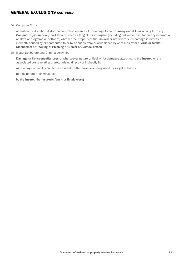### **GENERAL EXCLUSIONS CONTINUED**

#### 5) Computer Virus

Alteration modification distortion corruption erasure of or damage to and **Consequential Loss** arising from any Computer System or any part thereof whether tangible or intangible (including but without limitation any information or Data or programs or software) whether the property of the Insured or not where such damage is directly or indirectly caused by or contributed to or by or arises from or occasioned by or results from a Virus or Similar Mechanism or Hacking or Phishing or Denial of Service Attack

6) Illegal Deliberate and Criminal Activities

**Damage or Consequential Loss of whatsoever nature or liability for damages attaching to the Insured or any** associated costs relating thereto arising directly or indirectly from

- a) damage or liability caused as a result of the Premises being used for illegal activities
- b) deliberate or criminal acts

by the Insured the Insured's family or Employee(s)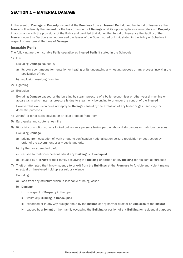### SECTION 1 – MATERIAL DAMAGE

In the event of **Damage to Property** insured at the **Premises** from an **Insured Peril** during the Period of Insurance the Insurer will indemnify the Insured for the loss or amount of Damage or at its option replace or reinstate such Property in accordance with the provisions of the Policy and provided that during the Period of Insurance the liability of the Insurer under this Section shall not exceed the lesser of the Sum Insured or Limit stated in the Policy or Schedule in respect of any item at the time of **Damage** 

#### Insurable Perils

The following are the Insurable Perils operative as **Insured Perils** if stated in the Schedule

1) Fire

#### Excluding Damage caused by

- a) its own spontaneous fermentation or heating or its undergoing any heating process or any process involving the application of heat
- b) explosion resulting from fire
- 2) Lightning
- 3) Explosion

Excluding **Damage** caused by the bursting by steam pressure of a boiler economiser or other vessel machine or apparatus in which internal pressure is due to steam only belonging to or under the control of the Insured

However this exclusion does not apply to **Damage** caused by the explosion of any boiler or gas used only for domestic purposes

- 4) Aircraft or other aerial devices or articles dropped from them
- 5) Earthquake and subterranean fire
- 6) Riot civil commotion strikers locked out workers persons taking part in labour disturbances or malicious persons

#### Excluding Damage

- a) arising from cessation of work or due to confiscation nationalisation seizure requisition or destruction by order of the government or any public authority
- b) by theft or attempted theft
- c) caused by malicious persons whilst any **Building** is **Unoccupied**
- d) caused by a Tenant or their family occupying the Building or portion of any Building for residential purposes
- 7) Theft or attempted theft involving entry to or exit from the Buildings at the Premises by forcible and violent means or actual or threatened hold up assault or violence

#### Excluding

- a) loss from any structure which is incapable of being locked
- b) Damage
	- i. in respect of **Property** in the open
	- ii. whilst any **Building** is **Unoccupied**
	- iii. expedited or in any way brought about by the Insured or any partner director or Employee of the Insured
	- iv. caused by a Tenant or their family occupying the Building or portion of any Building for residential purposes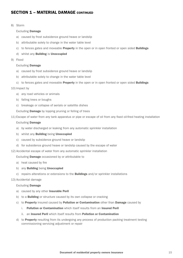8) Storm

#### Excluding Damage

- a) caused by frost subsidence ground heave or landslip
- b) attributable solely to change in the water table level
- c) to fences gates and moveable **Property** in the open or in open fronted or open sided **Buildings**
- d) whilst any Building is Unoccupied
- 9) Flood

#### Excluding Damage

- a) caused by frost subsidence ground heave or landslip
- b) attributable solely to change in the water table level
- c) to fences gates and moveable **Property** in the open or in open fronted or open sided **Buildings**

#### 10) Impact by

- a) any road vehicles or animals
- b) falling trees or boughs
- c) breakage or collapse of aerials or satellite dishes

Excluding Damage by lopping pruning or felling of trees

11) Escape of water from any tank apparatus or pipe or escape of oil from any fixed oil-fired heating installation

#### Excluding Damage

- a) by water discharged or leaking from any automatic sprinkler installation
- b) whilst any **Building** being **Unoccupied**
- c) caused by subsidence ground heave or landslip
- d) for subsidence ground heave or landslip caused by the escape of water
- 12) Accidental escape of water from any automatic sprinkler installation

Excluding Damage occasioned by or attributable to

- a) heat caused by fire
- b) any **Building** being **Unoccupied**
- c) repairs alterations or extensions to the **Buildings** and/or sprinkler installations

#### 13) Accidental damage

#### Excluding Damage

- a) caused by any other Insurable Peril
- b) to a **Building** or structure caused by its own collapse or cracking
- c) to **Property** insured caused by **Pollution or Contamination** other than **Damage** caused by
	- i. Pollution or Contamination which itself results from an Insured Peril
	- ii. an Insured Peril which itself results from Pollution or Contamination
- d) to **Property** resulting from its undergoing any process of production packing treatment testing commissioning servicing adjustment or repair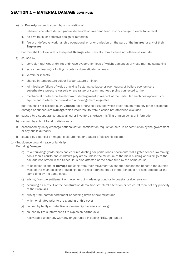- e) to Property insured caused by or consisting of
	- i. inherent vice latent defect gradual deterioration wear and tear frost or change in water table level
	- ii. its own faulty or defective design or materials
	- iii. faulty or defective workmanship operational error or omission on the part of the Insured or any of their **Employees**

but this shall not exclude subsequent **Damage** which results from a cause not otherwise excluded

- f) caused by
	- i. corrosion rust wet or dry rot shrinkage evaporation loss of weight dampness dryness marring scratching
	- ii. scratching tearing or fouling by pets or domesticated animals
	- iii. vermin or insects
	- iv. change in temperature colour flavour texture or finish
	- v. joint leakage failure of welds cracking fracturing collapse or overheating of boilers economisers superheaters pressure vessels or any range of steam and feed piping connected to them
	- vi. mechanical or electrical breakdown or derangement in respect of the particular machines apparatus or equipment in which the breakdown or derangement originates

but this shall not exclude such **Damage** not otherwise excluded which itself results from any other accidental damage or subsequent **Damage** which itself results from a cause not otherwise excluded

- g) caused by disappearance unexplained or inventory shortage misfiling or misplacing of information
- h) caused by acts of fraud or dishonesty
- i) occasioned by delay embargo nationalisation confiscation requisition seizure or destruction by the government or any public authority
- j) caused by electrical or magnetic disturbance or erasure of electronic records

#### 14) Subsidence ground heave or landslip Excluding Damage

- a) to outbuildings yards pipes cables wires ducting car parks roads pavements walls gates fences swimming pools tennis courts and children's play areas unless the structure of the main building or buildings at the risk address stated in the Schedule is also affected at the same time by the same cause
- b) to solid floor slabs or **Damage** resulting from their movement unless the foundations beneath the outside walls of the main building or buildings at the risk address stated in the Schedule are also affected at the same time by the same cause
- c) arising from the settlement or movement of made-up ground or by coastal or river erosion
- d) occurring as a result of the construction demolition structural alteration or structural repair of any property at the Premises
- e) arising from normal settlement or bedding down of new structures
- f) which originated prior to the granting of this cover
- g) caused by faulty or defective workmanship materials or design
- h) caused by fire subterranean fire explosion earthquake
- i) recoverable under any warranty or guarantee including NHBC guarantee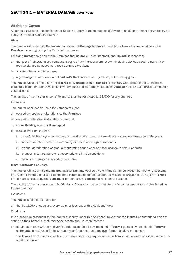#### Additional Covers

All terms exclusions and conditions of Section 1 apply to these Additional Covers in addition to those shown below as applying to these Additional Covers

#### Glass

The Insurer will indemnify the Insured in respect of Damage to glass for which the Insured is responsible at the **Premises** occurring during the Period of Insurance

Following **Damage** to glass at the **Premises** the **Insurer** will also indemnify the **Insured** in respect of

- a) the cost of reinstating any component parts of any intruder alarm system including devices used to transmit or receive signals damaged as a result of glass breakage
- b) any boarding up costs incurred
- c) any **Damage** to framework and **Landlord's Contents** caused by the impact of falling glass

The Insurer will also indemnify the Insured for Damage at the Premises to sanitary ware (fixed baths washbasins pedestals bidets shower trays sinks lavatory pans and cisterns) where such **Damage** renders such article completely unserviceable

The liability of the Insurer under a) b) and c) shall be restricted to  $£2,500$  for any one loss

Exclusions

The Insurer shall not be liable for Damage to glass

- a) caused by repairs or alterations to the **Premises**
- b) caused by alteration installation or removal
- c) in any **Building** which is **Unoccupied**
- d) caused by or arising from
	- i. superficial **Damage** or scratching or cracking which does not result in the complete breakage of the glass
	- ii. inherent or latent defect its own faulty or defective design or materials
	- iii. gradual deterioration or gradually operating cause wear and tear change in colour or finish
	- iv. changes in temperature or atmospheric or climatic conditions
	- v. defects in frames framework or any fitting

#### Illegal Cultivation of Drugs

The Insurer will indemnify the Insured against Damage caused by the manufacture cultivation harvest or processing by any other method of drugs classed as a controlled substance under the Misuse of Drugs Act (1971) by a Tenant or their family occupying the **Building** or portion of any **Building** for residential purposes

The liability of the Insurer under this Additional Cover shall be restricted to the Sums Insured stated in the Schedule for any one loss

Exclusions

The Insurer shall not be liable for

a) the first £250 of each and every claim or loss under this Additional Cover

#### **Conditions**

It is a condition precedent to the Insurer's liability under this Additional Cover that the Insured or authorised persons acting on their behalf or their managing agents shall in each instance

a) obtain and retain written and verified references for all new residential Tenants prospective residential Tenants or Tenants in residence for less than a year from a current employer former landlord or sponsor

The Insured must produce such written references if so requested by the Insurer in the event of a claim under this Additional Cover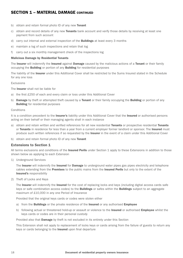- b) obtain and retain formal photo ID of any new Tenant
- c) obtain and record details of any new **Tenants** bank account and verify those details by receiving at least one payment from such account
- d) carry out internal and external inspection of the **Buildings** at least every 3 months
- e) maintain a log of such inspections and retain that log
- f) carry out a six monthly management check of the inspections log

#### Malicious Damage by Residential Tenants

The Insurer will indemnify the Insured against Damage caused by the malicious actions of a Tenant or their family occupying the **Building** or portion of any **Building** for residential purposes

The liability of the Insurer under this Additional Cover shall be restricted to the Sums Insured stated in the Schedule for any one loss

#### Exclusions

The Insurer shall not be liable for

- a) the first £250 of each and every claim or loss under this Additional Cover
- b) Damage by theft or attempted theft caused by a Tenant or their family occupying the Building or portion of any **Building** for residential purposes

#### Conditions

It is a condition precedent to the Insurer's liability under this Additional Cover that the Insured or authorised persons acting on their behalf or their managing agents shall in each instance

- a) obtain and retain written and verified references for all new residential Tenants or prospective residential Tenants or Tenants in residence for less than a year from a current employer former landlord or sponsor. The Insured must produce such written references if so requested by the **Insurer** in the event of a claim under this Additional Cover
- b) obtain and retain formal photo ID of any new Tenant

#### Extensions to Section 1

All terms exclusions and conditions of the Insured Perils under Section 1 apply to these Extensions in addition to those shown below as applying to each Extension

1) Underground Services

The Insurer will indemnify the Insured for Damage to underground water pipes gas pipes electricity and telephone cables extending from the **Premises** to the public mains from the **Insured Perils** but only to the extent of the Insured's responsibility

2) Theft of Locks and Keys

The Insurer will indemnify the Insured for the cost of replacing locks and keys (including digital access cards safe keys or safe combination access codes) to the **Buildings** or safes within the **Buildings** subject to an aggregate maximum of £10,000 in any one Period of Insurance

Provided that the original keys cards or codes were stolen either

- a) from the Buildings or the private residence of the Insured or any authorised Employee
- b) following actual or threatened hold-up or assault or violence to the **Insured** or authorised **Employee** whilst the keys cards or codes are in their personal custody

Provided also that Damage by theft is not excluded in its entirety under this Section

 This Extension shall not apply to replacement of locks keys or cards arising from the failure of guests to return any keys or cards belonging to the Insured upon final departure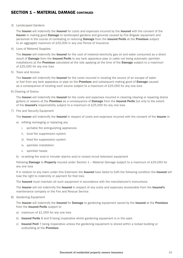#### 3) Landscaped Gardens

The Insurer will indemnify the Insured for costs and expenses incurred by the Insured with the consent of the Insurer in making good Damage to landscaped gardens and grounds caused by Fire Brigade equipment and personnel in the course of combating or reducing **Damage** from the **Insured Perils** at the **Premises** subject to an aggregate maximum of £25,000 in any one Period of Insurance

4) Loss of Metered Supplies

The Insurer will indemnify the Insured for the cost of metered electricity gas oil and water consumed as a direct result of **Damage** from the **Insured Perils** to any tank apparatus pipe or cable not being automatic sprinkler installations at the **Premises** calculated at the rate applying at the time of the **Damage** subject to a maximum of £25,000 for any one loss

5) Trace and Access

The Insurer will indemnify the Insured for the costs incurred in locating the source of an escape of water or fuel from any tank apparatus or pipe on the Premises and subsequent making good of Damage caused as a consequence of locating such source subject to a maximum of £25,000 for any one loss

6) Clearing of Drains

The Insurer will indemnify the Insured for the costs and expenses incurred in cleaning clearing or repairing drains gutters or sewers at the Premises as a consequence of Damage from the Insured Perils but only to the extent of the Insured's responsibility subject to a maximum of £25,000 for any one loss

7) Fire and Security Equipment

The Insurer will indemnify the Insured in respect of costs and expenses incurred with the consent of the Insurer in

- a) refilling recharging or replacing any
	- i. portable fire extinguishing appliances
	- ii. local fire suppression system
	- iii. fixed fire suppression system
	- iv. sprinkler installation
	- v. sprinkler heads
- b) re-setting fire and/or intruder alarms and/or closed circuit television equipment

following **Damage to Property** insured under Section 1 – Material Damage subject to a maximum of £25,000 for any one loss

If in relation to any claim under this Extension the **Insured** have failed to fulfil the following condition the **Insured** will lose the right to indemnity or payment for that loss

The Insured must maintain all such equipment in accordance with the manufacturer's instructions

The Insurer will not indemnify the Insured in respect of any costs and expenses recoverable from the Insured's maintenance company or the Fire and Rescue Service

8) Gardening Equipment

The Insurer will indemnify the Insured for Damage to gardening equipment owned by the Insured at the Premises from the **Insured Perils** subject to

- a) maximum of £1,000 for any one loss
- b) Insured Perils 8 and 9 being inoperative whilst gardening equipment is in the open
- c) Insured Peril 7 being inoperative unless the gardening equipment is stored within a locked building or outbuilding at the Premises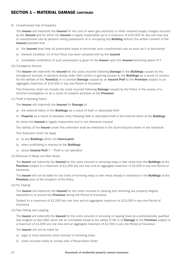#### 9) Unauthorised Use of Supplies

The Insurer will indemnify the Insured for the cost of water gas electricity or other metered supply charges incurred by the Insured and for which the Insured is legally responsible up to a maximum of £25,000 for any one loss due to unauthorised use by persons taking possession of or occupying any **Building** without the written consent of the Insured provided that

- a) the **Insured** shall take all practicable steps to terminate such unauthorised use as soon as it is discovered
- b) General Condition 13 of the Policy has been complied with by the Insured
- c) immediate notification of such possession is given to the Insurer upon the Insured becoming aware of it
- 10) Emergency Access

The Insurer will indemnify the Insured for the costs incurred following Damage to the Buildings caused by the emergency services or persons acting under their control in gaining access to the **Buildings** as a result of concern for the welfare of the Tenant(s) or to combat Damage caused by an Insured Peril to the Premises subject to an aggregate maximum of £10,000 in any one Period of Insurance

This Extension shall not include any costs incurred following **Damage** caused by the Police in the course of a criminal investigation or as a result of unlawful activities at the Premises

#### 11) Theft of Building Fabric

The Insurer will indemnify the Insured for Damage to

- a) the external fabric of the **Buildings** as a result of theft or attempted theft
- b) Property as a result of rainwater entry following theft or attempted theft of the external fabric of the Buildings

for which the Insured is legally responsible and is not otherwise insured

The liability of the Insurer under this extension shall be restricted to the Sums Insured shown in the Schedule

This Extension shall not apply

- a) to any Buildings which are Unoccupied
- b) when scaffolding is erected at the **Buildings**
- c) where **Insured Peril**  $7 -$ Theft is not operative

#### 12) Removal of Wasp and Bee Nests

The Insurer will indemnify the Insured for the costs incurred in removing wasp or bee nests from the Buildings at the Premises subject to a maximum of £1,000 any one loss and an aggregate maximum of £5,000 in any one Period of Insurance

The **Insurer** will not be liable for any costs of removing wasp or bee nests already in existence in the **Buildings** at the Premises prior to the inception of the Policy

13) Fly Tipping

The Insurer will indemnify the Insured for the costs incurred in clearing and removing any property illegally deposited in or around the Premises during the Period of Insurance

 Subject to a maximum of £2,500 any one loss and an aggregate maximum of £15,000 in any one Period of Insurance

14) Tree Felling and Lopping

The Insurer will indemnify the Insured for the costs incurred in removing or lopping trees by a professionally qualified tree surgeon or tree feller which are an immediate threat to the safety of life or of **Damage** to the **Premises** subject to a maximum of £1,000 any one loss and an aggregate maximum of £2,500 in any one Period of Insurance

The Insurer will not be liable for

- a) legal or local authority costs involved in removing trees
- b) costs incurred solely to comply with a Preservation Order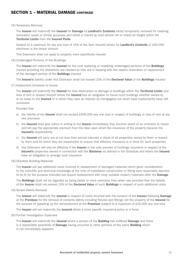#### 15) Temporary Removal

The Insurer will indemnify the Insured for Damage to Landlord's Contents whilst temporarily removed for cleaning renovation repair or similar purposes and whilst in transit by road vehicle rail or inland air freight within the Territorial Limits from the Insured Perils

Subject to a maximum for any one loss of 15% of the Sum Insured shown for **Landlord's Contents** or £50,000 whichever is the lesser amount

This Extension shall not apply to property more specifically insured

16) Undamaged Portions of the Buildings

The Insurer will indemnify the Insured for the cost replacing or modifying undamaged portions of the Buildings insured providing the alterations are needed so they are in keeping with the repairs restoration or replacement of the damaged portion of the Buildings insured

The Insurer's liability under this Extension shall not exceed 10% of the Declared Value of the Buildings insured

17) Inadvertent Omission to Insure

The Insurer will indemnify the Insured for loss destruction or damage to buildings within the Territorial Limits and loss of rent in respect thereof where the Insured has an obligation to insure such buildings whether owned by or on lease to the Insured or in which they have an interest as mortgagees but which have inadvertently been left uninsured

Provided that

- a) the liability of the **Insurer** shall not exceed £500,000 any one loss in respect of buildings or loss of rent at any one premises
- b) the Insured shall give notice in writing to the Insurer immediately they become aware of an omission to insure and will pay the appropriate premium from the date upon which the insurance of the property became the Insured's responsibility
- c) the Insured will carry out at not less than annual intervals a check of all properties owned by them or leased by them and for which they are responsible to ensure that effective insurance is in force for such properties
- d) this Extension will only be effective if the Insurer is the sole provider of buildings insurance in respect of the Insured's properties owned in connection with the Business as defined in the Schedule and where the Insured have an obligation to arrange such insurance
- 18) Obsolete Building Materials

The Insurer will pay additional costs incurred in replacement of damaged materials which given consideration to the scientific and technical knowledge at the time of installation construction or fitting were reasonably deemed to be fit for the purpose intended but require replacement with more suitable modern materials after the **Damage** 

The **Buildings** shall not be regarded as being better or more extensive than when new provided that the liability of the Insurer shall not exceed 10% of the Declared Value of such Buildings in respect of such additional costs

19) Tenant Debris Removal

The Insurer will indemnify the Insured in respect of costs incurred with the consent of the Insurer following Damage at the **Premises** for the removal of contents debris including fixtures and fittings not the property of the Insured for the purpose of speeding up the reinstatement of the Premises subject to a maximum of £25,000 any one loss

The Insurer will not indemnify the Insured where a more specific insurance policy is in force

20) Further Investigation Expenses

The Insurer will indemnify the Insured where a portion of the Building has suffered Damage and there is a reasonable possibility of **Damage** having occurred to other portions of the same **Building** which is not immediately apparent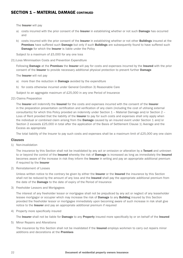The **Insurer** will pay

- a) costs incurred with the prior consent of the **Insurer** in establishing whether or not such **Damage** has occurred and
- b) costs incurred with the prior consent of the Insurer in establishing whether or not other Buildings insured at the Premises have suffered such Damage but only if such Buildings are subsequently found to have suffered such Damage for which the Insurer is liable under the Policy

Subject to a maximum of £5,000 for any one loss

21) Loss Minimisation Costs and Prevention Expenditure

Following **Damage** at the **Premises** the Insurer will pay for costs and expenses incurred by the Insured with the prior consent of the Insurer to provide necessary additional physical protection to prevent further Damage

The **Insurer** will not pay

- a) more than the reduction in **Damage** avoided by the expenditure
- b) for costs otherwise incurred under General Condition 3) Reasonable Care

Subject to an aggregate maximum of £25,000 in any one Period of Insurance

22) Claims Preparation

The Insurer will indemnify the Insured for the costs and expenses incurred with the consent of the Insurer in the preparation presentation certification and verification of any claim (including the cost of utilising external consultants) for which this Policy provided an indemnity under Section 1 – Material Damage and/or Section 2 – Loss of Rent provided that the liability of the Insurer to pay for such costs and expenses shall only apply when the individual or combined claim arising from the **Damage** caused by an insured event under Section 1 and/or Section 2 exceeds £25,000 in total after the application of the Basis of Settlement Clause 1) Average and the Excess as appropriate

The total liability of the Insurer to pay such costs and expenses shall be a maximum limit of  $£25,000$  any one claim

#### Clauses

1) Non-invalidation

The insurance by this Section shall not be invalidated by any act or omission or alteration by a Tenant and unknown to or beyond the control of the Insured whereby the risk of Damage is increased as long as immediately the Insured becomes aware of the increase in risk they inform the **Insurer** in writing and pay an appropriate additional premium if required by the Insurer

2) Reinstatement of Losses

Unless written notice to the contrary be given by either the **Insurer** or the **Insured** the insurance by this Section shall not be reduced by the amount of any loss and the **Insured** shall pay the appropriate additional premium from the date of the **Damage** to the date of expiry of the Period of Insurance

3) Freeholder Lessors and Mortgagees

 The interest of any freeholder lessor or mortgagee shall not be prejudiced by any act or neglect of any leaseholder lessee mortgagor or occupier which may increase the risk of **Damage** to any **Building** insured by this Section provided the freeholder lessor or mortgagee immediately upon becoming aware of such increase in risk shall give notice to the Insurer and pay an appropriate additional premium if required

4) Property more specifically insured

The Insurer shall not be liable for Damage to any Property insured more specifically by or on behalf of the Insured

5) Minor Repairs and Alterations

The insurance by this Section shall not be invalidated if the Insured employs workmen to carry out repairs minor additions and decorations at the Premises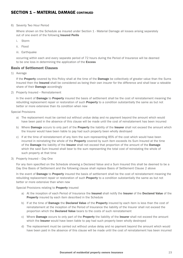6) Seventy Two Hour Period

Where shown on the Schedule as insured under Section 1 - Material Damage all losses arising separately out of one event of the following Insured Perils

- i. Storm
- ii. Flood
- iii. Earthquake

 occurring within each and every separate period of 72 hours during the Period of Insurance will be deemed to be one loss in determining the application of the **Excess** 

#### Basis of Settlement Clauses

1) Average

If the **Property** covered by this Policy shall at the time of the **Damage** be collectively of greater value than the Sums Insured then the Insured shall be considered as being their own insurer for the difference and shall bear a rateable share of their **Damage** accordingly

2) Property Insured – Reinstatement

In the event of **Damage** to **Property** insured the basis of settlement shall be the cost of reinstatement meaning the rebuilding replacement repair or restoration of such **Property** to a condition substantially the same as but not better or more extensive than its condition when new

Special Provisions

- a) The replacement must be carried out without undue delay and no payment beyond the amount which would have been paid in the absence of this clause will be made until the cost of reinstatement has been incurred
- b) Where **Damage** occurs to only part of the **Property** the liability of the **Insurer** shall not exceed the amount which the Insurer would have been liable to pay had such property been wholly destroyed
- c) If at the time of reinstatement of any item the sum representing 85% of the cost which would have been incurred in reinstating the whole of the **Property** covered by such item exceeds its Sum Insured at the time of the **Damage** the liability of the Insurer shall not exceed that proportion of the amount of the **Damage** which the said Sum Insured shall bear to the sum representing the total cost of reinstating the whole of such property at that time
- 3) Property Insured Day One

 For any item specified on the Schedule showing a Declared Value and a Sum Insured this shall be deemed to be a Day One Basis of Settlement and the following clause shall replace Basis of Settlement Clause 2 above

In the event of **Damage to Property** insured the basis of settlement shall be the cost of reinstatement meaning the rebuilding replacement repair or restoration of such **Property** to a condition substantially the same as but not better or more extensive than when new

Special Provisions relating to Property insured

- a) At the inception of each Period of Insurance the Insured shall notify the Insurer of the Declared Value of the Property insured by each item described in the Schedule
- b) If at the time of Damage the Declared Value of the Property insured by each item is less than the cost of reinstatement at the inception of the Period of Insurance the liability of the Insurer shall not exceed the proportion which the Declared Value bears to the costs of such reinstatement
- c) Where **Damage** occurs to only part of the **Property** the liability of the **Insurer** shall not exceed the amount which the Insurer would have been liable to pay had such property been wholly destroyed
- d) The replacement must be carried out without undue delay and no payment beyond the amount which would have been paid in the absence of this clause will be made until the cost of reinstatement has been incurred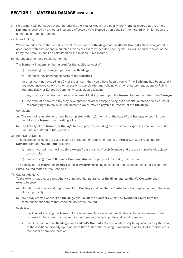- e) No payment will be made beyond the amount the **Insurer** would have paid where **Property** insured at the time of **Damage** is covered by any other insurance effected by the **Insured** or on behalf of the **Insured** which is not on the same basis of reinstatement
- 4) Index Linking

Where so indicated in the Schedule the Sums Insured for **Buildings** and Landlord's Contents shall be adjusted in accordance with fluctuations in suitable indices of cost to be decided upon by the **Insurer.** At each renewal of the Policy the premium shall be calculated on the revised Sums Insured

5) European Union and Public Authorities

The Insurer will indemnify the Insured for the additional cost of

- a) reinstating the damaged parts of the **Buildings**
- b) upgrading any undamaged parts of the **Buildings**

for an amount not exceeding 15% of the amount that would have been payable if the **Buildings** had been totally destroyed incurred solely by the necessity to comply with any building or other statutory regulations or Public Authority Bylaw or European Community Legislation excluding

- i. any cost resulting from any such requirement first imposed upon the Insured before the date of the Damage
- ii. the amount of any rate tax duty development or other charge arising out of capital appreciation as a result of complying with any such requirements which may be payable in respect of the Buildings

Conditions

- a) The work of reinstatement must be completed within 12 months of the date of the Damage or such further period as the **Insurer** may in writing allow
- b) The liability of the **Insurer** for **Damage** to such property including such costs and expenses shall not exceed the Sum Insured stated in the Schedule
- 6) Removal of Debris

This insurance includes the costs incurred in respect of removal of debris of **Property** insured resulting from Damage from an Insured Peril excluding

- a) costs incurred in removing debris except from the site of such **Damage** and the area immediately adjacent to such site
- b) costs arising from **Pollution or Contamination** of property not insured by this Section

The liability of the Insurer for Damage to such Property including such costs and expenses shall not exceed the Sums Insured stated in the Schedule

7) Capital Additions

To the extent that they are not otherwise insured the insurance of **Buildings** and Landlord's Contents shall extend to cover

- a) alterations additions and improvements to **Buildings** and Landlord's Contents but not appreciation of the value of such property
- b) any newly erected or acquired Buildings and Landlord's Contents within the Territorial Limits from the commencement date of the responsibility of the Insured

subject to

- i. the Insured advising the Insurer of the amendments as soon as practicable on becoming aware of the increase in the extent of cover required and paying the appropriate additional premium
- ii. the Sums Insured for **Buildings** and Landlord's Contents at each location only being increased by the value of the additional property up to no more than 10% of the existing Sums Insured or £250,000 whichever is the lesser at any one location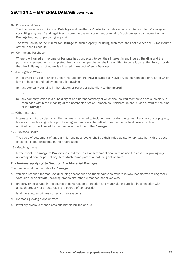#### 8) Professional Fees

The insurance by each item on **Buildings** and Landlord's Contents includes an amount for architects' surveyors' consulting engineers' and legal fees incurred in the reinstatement or repair of such property consequent upon its **Damage** but not for preparing any claim

The total liability of the **Insurer** for **Damage** to such property including such fees shall not exceed the Sums Insured stated in the Schedule

9) Contracting Purchaser

Where the **Insured** at the time of **Damage** has contracted to sell their interest in any insured **Building** and the purchase is subsequently completed the contracting purchaser shall be entitled to benefit under the Policy provided that the **Building** is not otherwise insured in respect of such **Damage** 

10) Subrogation Waiver

In the event of a claim arising under this Section the Insurer agrees to waive any rights remedies or relief to which it might become entitled by subrogation against

a) any company standing in the relation of parent or subsidiary to the Insured

or

- b) any company which is a subsidiary of or a parent company of which the **Insured** themselves are subsidiary in each case within the meaning of the Companies Act or Companies (Northern Ireland) Order current at the time of the Damage
- 11) Other Interests

Interests of third parties which the Insured is required to include herein under the terms of any mortgage property lease or hiring leasing or hire purchase agreement are automatically deemed to be held covered subject to notification by the Insured to the Insurer at the time of the Damage

12) Business Books

 The basis of settlement of any claim for business books shall be their value as stationery together with the cost of clerical labour expended in their reproduction

13) Matching Items

In the event of Damage to Property insured the basis of settlement shall not include the cost of replacing any undamaged item or part of any item which forms part of a matching set or suite

#### Exclusions applying to Section 1 – Material Damage

The Insurer shall not be liable for Damage to

- a) vehicles licensed for road use (including accessories on them) caravans trailers railway locomotives rolling stock watercraft or or aircraft (including drones and other unmanned aerial vehicles)
- b) property or structures in the course of construction or erection and materials or supplies in connection with all such property or structures in the course of construction
- c) land piers jetties bridges culverts or excavations
- d) livestock growing crops or trees
- e) jewellery precious stones precious metals bullion or furs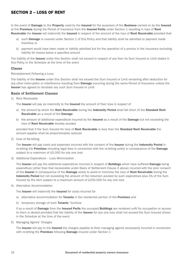### SECTION 2 – LOSS OF RENT

In the event of **Damage** to the **Property** used by the Insured for the purposes of the Business carried on by the Insured at the Premises during the Period of Insurance from the Insured Perils under Section 1 resulting in loss of Rent Receivable the Insurer will indemnify the Insured in respect of the amount of the loss of Rent Receivable provided that

- a) such Damage is covered under Section 1 of this Policy and that liability shall be admitted or payment made therefore or
- b) payment would have been made or liability admitted but for the operation of a proviso in the insurance excluding liability for losses below a specified amount

The liability of the **Insurer** under this Section shall not exceed in respect of any item its Sum Insured or Limit stated in this Policy or the Schedule at the time of the event

#### Clause

Reinstatement Following a Loss

The liability of the Insurer under this Section shall not exceed the Sum Insured or Limit remaining after deduction for any other interruption or interference resulting from **Damage** occurring during the same Period of Insurance unless the **Insurer** has agreed to reinstate any such Sum Insured or Limit

#### Basis of Settlement Clauses

1) Rent Receivable

The Insurer will pay as indemnity to the Insured the amount of their loss in respect of

- a) the amount by which the Rent Receivable during the Indemnity Period shall fall short of the Standard Rent Receivable as a result of the Damage
- b) the amount of additional expenditure incurred by the **Insured** as a result of the **Damage** but not exceeding the loss of Rent Receivable thereby avoided

provided that if the Sum Insured for loss of Rent Receivable is less than the Standard Rent Receivable the amount payable shall be proportionately reduced

2) Cost of Re-letting

The Insurer will pay costs and expenses incurred with the consent of the Insurer during the Indemnity Period in re-letting the Premises including legal fees in connection with the re-letting solely in consequence of the Damage subject to a maximum of £5,000 for any one loss

3) Additional Expenditure – Loss Minimisation

The Insurer will pay the additional expenditure incurred in respect of Buildings which have suffered Damage being expenditure (other than that recoverable under Basis of Settlement Clause 2 above) incurred with the prior consent of the Insurer in consequence of the Damage solely to avoid or minimise the loss of Rent Receivable during the Indemnity Period but not exceeding the amount of the reduction avoided by such expenditure plus 5% of the Sum Insured by the item subject to a maximum amount of £250,000 for any one loss

4) Alternative Accommodation

The Insurer will indemnify the Insured for costs incurred for

- a) alternative accommodation for **Tenants** in the residential portion of the **Premises** and
- b) temporary storage of such Tenants' furniture

if as a result of Damage from the Insured Perils the occupied Buildings are rendered unfit for occupation or access to them is denied provided that the liability of the Insurer for any one loss shall not exceed the Sum Insured shown in the Schedule at the time of the event

5) Managing Agents' Charges

The Insurer will pay to the Insured the charges payable to their managing agents necessarily incurred in connection with re-letting the Premises following Damage insured under Section 1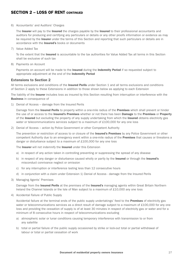### SECTION 2 - LOSS OF RENT CONTINUED

#### 6) Accountants' and Auditors' Charges

The Insurer will pay to the Insured the charges payable by the Insured to their professional accountants and auditors for producing and certifying any particulars or details or any other proofs information or evidence as may be required by the Insurer under the terms of this Section and reporting that such particulars or details are in accordance with the Insured's books or documents

7) Value Added Tax

 To the extent that the Insured is accountable to the tax authorities for Value Added Tax all terms in this Section shall be exclusive of such tax

8) Payments on Account

Payments on account will be made to the Insured during the Indemnity Period if so requested subject to appropriate adjustment at the end of the Indemnity Period

#### Extensions to Section 2

All terms exclusions and conditions of the **Insured Perils** under Section 1 and all terms exclusions and conditions of Section 2 apply to these Extensions in addition to those shown below as applying to each Extension

The liability of the Insurer includes loss as insured by this Section resulting from interruption or interference with the Business in consequence of

1) Denial of Access – damage from the Insured Perils

Damage from the **Insured Perils** to property within a one-mile radius of the **Premises** which shall prevent or hinder the use of or access to the Insured's Premises whether or not there has been Damage to the Premises or Property of the Insured but excluding the property of any supply undertaking from which the Insured obtains electricity gas water or telecommunications services subject to a maximum of £100,000 for any one loss

2) Denial of Access – action by Police Government or other Competent Authority

The prevention or restriction of access to or closure of the Insured's Premises by any Police Government or other competent Authority due to an emergency event within a one-mile radius of the **Premises** that causes or threatens a danger or disturbance subject to a maximum of £100,000 for any one loss

The Insurer will not indemnify the Insured under this Extension

- a) in respect of any action taken in controlling preventing or suppressing the spread of any disease
- b) in respect of any danger or disturbance caused wholly or partly by the **Insured** or through the **Insured's** misconduct connivance neglect or omission
- c) for any interruption or interference lasting less than 12 consecutive hours
- d) in conjunction with a claim under Extension 1) Denial of Access damage from the Insured Perils
- 3) Managing Agents' Premises

Damage from the Insured Perils at the premises of the Insured's managing agents within Great Britain Northern Ireland the Channel Islands or the Isle of Man subject to a maximum of £10,000 any one loss

4) Accidental Failure of Public Supply

Accidental failure at the terminal ends of the public supply undertakings' feed to the **Premises** of electricity gas water or telecommunications services as a direct result of damage subject to a maximum of £100,000 for any one loss and providing the cessation of supply is of at least 30 minutes in respect of electricity gas or water and for a minimum of 8 consecutive hours in respect of telecommunications excluding

- a) atmospheric solar or lunar conditions causing temporary interference with transmission to or from any satellite
- b) total or partial failure of the public supply occasioned by strike or lock-out total or partial withdrawal of labour or total or partial cessation of work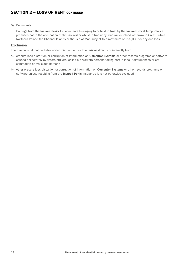### SECTION 2 - LOSS OF RENT CONTINUED

#### 5) Documents

Damage from the Insured Perils to documents belonging to or held in trust by the Insured whilst temporarily at premises not in the occupation of the **Insured** or whilst in transit by road rail or inland waterway in Great Britain Northern Ireland the Channel Islands or the Isle of Man subject to a maximum of £25,000 for any one loss

#### Exclusion

The Insurer shall not be liable under this Section for loss arising directly or indirectly from

- a) erasure loss distortion or corruption of information on **Computer Systems** or other records programs or software caused deliberately by rioters strikers locked out workers persons taking part in labour disturbances or civil commotion or malicious persons
- b) other erasure loss distortion or corruption of information on **Computer Systems** or other records programs or software unless resulting from the **Insured Perils** insofar as it is not otherwise excluded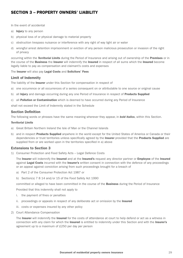### SECTION 3 – PROPERTY OWNERS' LIABILITY

In the event of accidental

- a) **Injury** to any person
- b) physical loss of or physical damage to material property
- c) obstruction trespass nuisance or interference with any right of way light air or water
- d) wrongful arrest detention imprisonment or eviction of any person malicious prosecution or invasion of the right of privacy

occurring within the *Territorial Limits* during the Period of Insurance and arising out of ownership of the Premises or in the course of the Business the Insurer will indemnify the Insured in respect of all sums which the Insured become legally liable to pay as compensation and claimant's costs and expenses

#### The Insurer will also pay Legal Costs and Solicitors' Fees

#### Limit of Indemnity

The liability of the Insurer under this Section for compensation in respect of

- a) one occurrence or all occurrences of a series consequent on or attributable to one source or original cause
- b) all Injury and damage occurring during any one Period of Insurance in respect of Products Supplied
- c) all **Pollution or Contamination** which is deemed to have occurred during any Period of Insurance

shall not exceed the Limit of Indemnity stated in the Schedule

#### Section Definition

The following words or phrases have the same meaning wherever they appear, in *bold italics*, within this Section.

#### *Territorial Limits*

- a) Great Britain Northern Ireland the Isle of Man or the Channel Islands
- b) and in respect **Products Supplied** anywhere in the world except for the United States of America or Canada or their dependencies or trust territories unless specifically agreed by the Insurer provided that the Products Supplied are supplied from or are worked upon in the territories specified in a) above

#### Extensions to Section 3

1) Consumer Protection and Food Safety Acts – Legal Defence Costs

The Insurer will indemnify the Insured and at the Insured's request any director partner or Employee of the Insured against Legal Costs incurred with the Insurer's written consent in connection with the defence of any proceedings or an appeal against conviction arising from such proceedings brought for a breach of

- a) Part 2 of the Consumer Protection Act 1987 or
- b) Section(s) 7 8 14 and/or 15 of the Food Safety Act 1990

committed or alleged to have been committed in the course of the **Business** during the Period of Insurance

Provided that this indemnity shall not apply to

- i. the payment of fines or penalties
- ii. proceedings or appeals in respect of any deliberate act or omission by the **Insured**
- iii. costs or expenses insured by any other policy
- 2) Court Attendance Compensation

The Insurer will indemnify the Insured for the costs of attendance at court to help defend or act as a witness in connection with any claim for which the Insured is entitled to indemnity under this Section and with the Insurer's agreement up to a maximum of £250 per day per person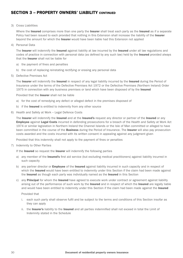### SECTION 3 - PROPERTY OWNERS' LIABILITY CONTINUED

3) Cross Liabilities

Where the Insured comprises more than one party the Insurer shall treat each party as the Insured as if a separate Policy had been issued to each provided that nothing in this Extension shall increase the liability of the Insurer beyond the amount for which the Insurer would have been liable had this Extension not applied

4) Personal Data

The Insurer will indemnify the Insured against liability at law incurred by the Insured under all law regulations and codes of practice in connection with personal data (as defined by any such law) held by the **Insured** provided always that the Insurer shall not be liable for

- a) the payment of fines and penalties
- b) the cost of replacing reinstating rectifying or erasing any personal data
- 5) Defective Premises Act

The Insurer will indemnify the Insured in respect of any legal liability incurred by the Insured during the Period of Insurance under the terms of the Defective Premises Act 1972 or the Defective Premises (Northern Ireland) Order 1975 in connection with any business premises or land which have been disposed of by the Insured

Provided that the Insurer shall not be liable

- a) for the cost of remedying any defect or alleged defect in the premises disposed of
- b) if the **Insured** is entitled to indemnity from any other source
- 6) Health and Safety at Work Legal Defence Costs

The Insurer will indemnify the Insured and at the Insured's request any director or partner of the Insured or any **Employee against Legal Costs incurred in defending prosecutions for a breach of the Health and Safety at Work Act** 1974 or similar legislation in Northern Ireland the Channel Islands or the Isle of Man committed or alleged to have been committed in the course of the **Business** during the Period of Insurance. The Insurer will also pay prosecution costs awarded and the costs incurred with its written consent in appealing against any judgment given

Provided that this indemnity shall not apply to the payment of fines or penalties

7) Indemnity to Other Parties

If the Insured so request the Insurer will indemnify the following parties

- a) any member of the **Insured's** first aid service (but excluding medical practitioners) against liability incurred in such capacity
- b) any partner director or *Employee* of the Insured against liability incurred in such capacity and in respect of which the Insured would have been entitled to indemnity under this Section if the claim had been made against the Insured as though each party was individually named as the Insured in this Section
- c) any **Principal** for whom the **Insured** have agreed to execute work under contract or agreement against liability arising out of the performance of such work by the **Insured** and in respect of which the **Insured** are legally liable and would have been entitled to indemnity under this Section if the claim had been made against the Insured

Provided that

- i. each such party shall observe fulfil and be subject to the terms and conditions of this Section insofar as they can apply
- ii. the Insurer's liability to the Insured and all parties indemnified shall not exceed in total the Limit of Indemnity stated in the Schedule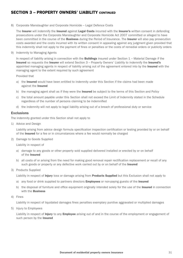### SECTION 3 - PROPERTY OWNERS' LIARILITY CONTINUED

8) Corporate Manslaughter and Corporate Homicide – Legal Defence Costs

The Insurer will indemnify the Insured against Legal Costs incurred with the Insurer's written consent in defending prosecutions under the Corporate Manslaughter and Corporate Homicide Act 2007 committed or alleged to have been committed in the course of the Business during the Period of Insurance. The Insurer will also pay prosecution costs awarded and the costs incurred with its written consent in appealing against any judgment given provided that this indemnity shall not apply to the payment of fines or penalties or the costs of remedial orders or publicity orders

9) Indemnity to Managing Agents

In respect of liability arising in connection with the **Buildings** insured under Section  $1$  – Material Damage if the Insured so requests the Insurer will extend Section 3 – Property Owners' Liability to indemnify the Insured's appointed managing agents in respect of liability arising out of the agreement entered into by the Insured with the managing agent to the extent required by such agreement

Provided that

- a) the Insured would have been entitled to indemnity under this Section if the claims had been made against the Insured
- b) the managing agent shall as if they were the **Insured** be subject to the terms of this Section and Policy
- c) the total amount payable under this Section shall not exceed the Limit of Indemnity stated in the Schedule regardless of the number of persons claiming to be indemnified
- d) the indemnity will not apply to legal liability arising out of a breach of professional duty or service

#### **Exclusions**

The indemnity granted under this Section shall not apply to

1) Advice and Design

 Liability arising from advice design formula specification inspection certification or testing provided by or on behalf of the Insured for a fee or in circumstances where a fee would normally be charged

2) Damage to Goods Supplied

Liability in respect of

- a) damage to any goods or other property sold supplied delivered installed or erected by or on behalf of the Insured
- b) all costs of or arising from the need for making good removal repair rectification replacement or recall of any such goods or property or any defective work carried out by or on behalf of the Insured
- 3) Products Supplied

Liability in respect of Injury loss or damage arising from Products Supplied but this Exclusion shall not apply to

- a) any food or drink supplied to partners directors **Employees** or non-paying guests of the Insured
- b) the disposal of furniture and office equipment originally intended solely for the use of the Insured in connection with the Business
- 4) Fines

Liability in respect of liquidated damages fines penalties exemplary punitive aggravated or multiplied damages

5) Injury to Employees

Liability in respect of **Injury** to any **Employee** arising out of and in the course of the employment or engagement of such person by the **Insured**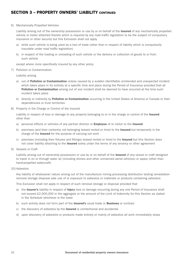### SECTION 3 - PROPERTY OWNERS' LIARILITY CONTINUED

#### 6) Mechanically Propelled Vehicles

Liability arising out of the ownership possession or use by or on behalf of the **Insured** of any mechanically propelled vehicle or trailer attached thereto which is required by any road traffic legislation to be the subject of compulsory insurance or other security but this Exclusion shall not apply

- a) while such vehicle is being used as a tool of trade (other than in respect of liability which is compulsorily insurable under road traffic legislation)
- b) in respect of the loading or unloading of such vehicle or the delivery or collection of goods to or from such vehicle

except where more specifically insured by any other policy

7) Pollution or Contamination

Liability arising

- a) out of **Pollution or Contamination** unless caused by a sudden identifiable unintended and unexpected incident which takes place in its entirety at a specific time and place during the Period of Insurance provided that all Pollution or Contamination arising out of one incident shall be deemed to have occurred at the time such incident takes place
- b) directly or indirectly by **Pollution or Contamination** occurring in the United States of America or Canada or their dependencies or trust territories
- 8) Property in the Charge or Control of the Insured

Liability in respect of loss or damage to any property belonging to or in the charge or control of the **Insured** other than

- a) personal effects or vehicles of any partner director or **Employee** of or visitor to the Insured
- b) premises (and their contents) not belonging leased rented or hired to the **Insured** but temporarily in the charge of the Insured for the purpose of carrying out work
- c) premises (including their fixtures and fittings) leased rented or hired to the Insured but this Section does not cover liability attaching to the **Insured** solely under the terms of any tenancy or other agreement
- 9) Vessels or Craft

Liability arising out of ownership possession or use by or on behalf of the Insured of any vessel or craft designed to travel in on or through water air (including drones and other unmanned aerial vehicles) or space (other than hand-propelled watercraft)

#### 10) Asbestos

 Any liability of whatsoever nature arising out of the manufacture mining processing distribution testing remediation removal storage disposal sale use of or exposure to asbestos or materials or products containing asbestos

This Exclusion shall not apply in respect of such removal storage or disposal provided that

- a) the Insurer's liability in respect of Injury loss or damage occurring during any one Period of Insurance shall not exceed £2,000,000 in the aggregate or the amount of the Limit of Indemnity for this Section as stated in the Schedule whichever is the lower
- b) such activity does not form part of the Insured's usual trade or Business or contract
- c) the discovery of asbestos by the **Insured** is unintentional and accidental
- d) upon discovery of asbestos or products made entirely or mainly of asbestos all work immediately stops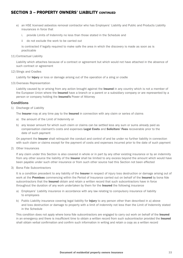### SECTION 3 - PROPERTY OWNERS' LIARILITY CONTINUED

- e) an HSE licensed asbestos removal contractor who has Employers' Liability and Public and Products Liability insurances in force that
	- i. provide Limits of Indemnity no less than those stated in the Schedule and
	- ii do not exclude the work to be carried out

 is contracted if legally required to make safe the area in which the discovery is made as soon as is practicable

11) Contractual Liability

 Liability which attaches because of a contract or agreement but which would not have attached in the absence of such contract or agreement

12) Slings and Cradles

Liability for **Injury** or loss or damage arising out of the operation of a sling or cradle

13) Overseas Representation

Liability caused by or arising from any action brought against the Insured in any country which is not a member of the European Union where the Insured have a branch or a parent or a subsidiary company or are represented by a person or company holding the Insured's Power of Attorney

#### Conditions

1) Discharge of Liability

The **Insurer** may at any time pay to the **Insured** in connection with any claim or series of claims

- a) the amount of the Limit of Indemnity or
- b) any lesser amount for which such claim or claims can be settled less any sum or sums already paid as compensation claimant's costs and expenses Legal Costs and Solicitors' Fees recoverable prior to the date of such payment

On payment the Insurer shall relinquish the conduct and control of and be under no further liability in connection with such claim or claims except for the payment of costs and expenses incurred prior to the date of such payment

2) Other Insurances

 If any claim under this Section is also covered in whole or in part by any other existing insurance or by an indemnity from any other source the liability of the **Insurer** shall be limited to any excess beyond the amount which would have been payable under such other insurance or from such other source had this Section not been effected

3) Bona Fide Subcontractors

It is a condition precedent to any liability of the Insurer in respect of injury loss destruction or damage arising out of work at the **Premises** commencing within the Period of Insurance carried out on behalf of the **Insured** by bona fide subcontractors that the Insured obtain and retain a written record that such subcontractors have in force throughout the duration of any work undertaken by them for the **Insured** the following insurance

- a) Employers' Liability insurance in accordance with any law relating to compulsory insurance of liability to employees
- b) Public Liability insurance covering legal liability for **Injury** to any person other than described in a) above and loss destruction or damage to property with a limit of indemnity not less than the Limit of Indemnity stated in the Schedule

This condition does not apply where bona fide subcontractors are engaged to carry out work on behalf of the Insured in an emergency and there is insufficient time to obtain a written record from such subcontractor provided the Insured shall obtain verbal confirmation and confirm such information in writing and retain a copy as a written record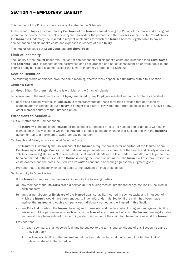### SECTION 4 - EMPLOYERS' LIABILITY

This Section of the Policy is operative only if stated in the Schedule

In the event of **Injury** sustained by any **Employee** of the **Insured** caused during the Period of Insurance and arising out of and in the course of their employment by the Insured for the purposes of the Business within the *Territorial Limits* the Insurer will indemnify the Insured in respect of all sums for which the Insured become legally liable to pay as compensation and claimant's costs and expenses in respect of such Injury

The Insurer will also pay Legal Costs and Solicitors' Fees

#### Limit of Indemnity

The liability of the Insurer under this Section for compensation and claimant's costs and expenses (and Legal Costs and Solicitors' Fees) in respect of one occurrence or all occurrences of a series consequent on or attributable to one source or original cause shall not exceed the Limit of Indemnity stated in the Schedule

#### Section Definition

The following words or phrases have the same meaning wherever they appear, in *bold italics*, within this Section

#### *Territorial Limits*

- a) Great Britain Northern Ireland the Isle of Man or the Channel Islands
- b) elsewhere in the world in respect of **Injury** sustained by any **Employee** resident within the territories specified in
- a) above and caused whilst such **Employee** is temporarily outside these territories provided that any action for compensation in respect of such **Injury** is brought in a court of law within the territories specified in a) above or any other member country of the European Union

#### Extensions to Section 4

1) Court Attendance Compensation

The Insurer will indemnify the Insured for the costs of attendance at court to help defend or act as a witness in connection with any claim for which the **Insured** is entitled to indemnity under this Section and with the **Insurer's** agreement up to a maximum of £250 per day per person

2) Health and Safety at Work – Legal Defence Costs

The Insurer will indemnify the Insured and at the Insured's request any director or partner of the Insured or any Employee against Legal Costs incurred in defending prosecutions for a breach of the Health and Safety at Work Act 1974 or similar legislation in Northern Ireland the Channel Islands or the Isle of Man committed or alleged to have been committed in the course of the **Business** during the Period of Insurance. The **Insurer** will also pay prosecution costs awarded and the costs incurred with its written consent in appealing against any judgment given

Provided that this indemnity shall not apply to the payment of fines or penalties

3) Indemnity to Other Parties

If the Insured so request the Insurer will indemnify the following parties

- a) any member of the **Insured's** first aid service (but excluding medical practitioners) against liability incurred in such capacity
- b) any partner director or **Employee** of the **Insured** against liability incurred in such capacity and in respect of which the **Insured** would have been entitled to indemnity under this Section if the claim had been made against the Insured as though each party was individually named as the Insured in this Section
- c) any **Principal** for whom the **Insured** have agreed to execute work under contract or agreement against liability arising out of the performance of such work by the Insured and in respect of which the Insured are legally liable and would have been entitled to indemnity under this Section if the claim had been made against the Insured

Provided that

- i. each such party shall observe fulfil and be subject to the terms and conditions of this Section insofar as they can apply
- ii. the Insurer's liability to the Insured and all parties indemnified shall not exceed in total the Limit of Indemnity stated in the Schedule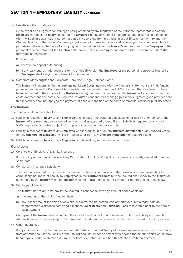### SECTION 4 - EMPI OYERS' I JARILITY CONTINUED

4) Unsatisfied Court Judgments

In the event of a judgment for damages being obtained by any **Employee** or the personal representatives of any **Employee** in respect of *Injury* caused to the **Employee** during any Period of Insurance and occurring in connection with the **Business** against any person or company operating from premises in Great Britain Northern Ireland the Channel Islands or the Isle of Man in any court situate in these territories and remaining unsatisfied in whole or in part six months after the date of such judgment the Insurer will at the Insured's request pay to the Employee or the personal representatives of the **Employee** the amount of such damages and any awarded costs to the extent that they remain unsatisfied

Provided that

- a) there is no appeal outstanding
- b) if any payment is made under the terms of this Extension the **Employee** or the personal representatives of he **Employee** shall assign the judgment to the **Insurer**
- 5) Corporate Manslaughter and Corporate Homicide Legal Defence Costs

The Insurer will indemnify the Insured against Legal Costs incurred with the Insurer's written consent in defending prosecutions under the Corporate Manslaughter and Corporate Homicide Act 2007 committed or alleged to have been committed in the course of the **Business** during the Period of Insurance. The Insurer will also pay prosecution costs awarded and the costs incurred with its written consent in appealing against any judgment given provided that this indemnity shall not apply to the payment of fines or penalties or the costs of remedial orders or publicity orders

#### **Exclusions**

The Insurer shall not be liable for

- 1) liability in respect of *Injury* to any *Employee* arising out of the ownership possession or use by or on behalf of the Insured of any mechanically propelled vehicle or trailer attached thereto if such liability is required by any road traffic legislation to be the subject of compulsory insurance or other security
- 2) liability in respect of *Injury* to any *Employee* who is working in or on any **Offshore Installation** or any support vessel for any Offshore Installation or whilst in transit to or from any Offshore Installation or support vessel
- 3) liability in respect of *Injury* to any *Employee* who is working in or on a sling or cradle

#### **Conditions**

1) Certificate of Employers' Liability Insurance

 If this Policy or Section is cancelled any Certificate of Employers' Liability Insurance is similarly cancelled from the same date

2) Compulsory Insurance Legislation

 The indemnity granted by this Section is deemed to be in accordance with the provisions of any law relating to compulsory insurance of liability to Employees in the Territorial Limits but the Insured shall repay to the Insurer all sums paid by the Insurer which the Insurer would not have been liable to pay but for the provisions of such law

3) Discharge of Liability

The Insurer may at any time pay to the Insured in connection with any claim or series of claims

- a) the amount of the Limit of Indemnity or
- b) any lesser amount for which such claim or claims can be settled less any sum or sums already paid as compensation claimant's costs and expenses Legal Costs and Solicitors' Fees recoverable prior to the date of such payment

On payment the **Insurer** shall relinquish the conduct and control of and be under no further liability in connection with such claim or claims except or the payment of costs and expenses incurred prior to the date of such payment

4) Other Insurances

 If any claim under this Section is also covered in whole or in part by any other existing insurance or by an indemnity from any other source the liability of the Insurer shall be limited to any excess beyond the amount which would have been payable under such other insurance or from such other source had this Section not been effected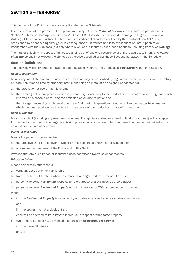### SECTION 5 – TERRORISM

This Section of the Policy is operative only if stated in the Schedule

In consideration of the payment of the premium in respect of the *Period of Insurance* the insurance provided under Section 1 – Material Damage and Section 2 – Loss of Rent is extended to include **Damage** in England Scotland and Wales (but this shall not include the territorial seas adjacent thereto as defined by the Territorial Sea Act 1987) occasioned by or happening through or in consequence of **Terrorism** and loss consequent on interruption to or interference with the **Business** (but only where such loss is insured under these Sections) resulting from such **Damage** 

The Insurer's liability in respect of all losses arising out of any one occurrence and in the aggregate in any one *Period of Insurance* shall not exceed the Limits as otherwise specified under these Sections as stated in the Schedule

#### Section Definitions

The following words or phrases have the same meaning wherever they appear, in *bold italics*, within this Section.

#### *Nuclear Installation*

Means any installation of such class or description as may be prescribed by regulations made by the relevant Secretary of State from time to time by statutory instrument being an installation designed or adapted for

- a) the production or use of atomic energy
- b) the carrying out of any process which is preparatory or ancillary to the production or use of atomic energy and which involves or is capable of causing the emission of ionising radiations or
- c) the storage processing or disposal of nuclear fuel or of bulk quantities of other radioactive matter being matter which has been produced or irradiated in the course of the production or use of nuclear fuel

#### *Nuclear Reactor*

Means any plant (including any machinery equipment or appliance whether affixed to land or not) designed or adapted for the production of atomic energy by a fission process in which a controlled chain reaction can be maintained without an additional source of neutrons

#### *Period of Insurance*

Means the period commencing from

- a) the Effective Date of the cover provided by this Section as shown in the Schedule or
- b) any subsequent renewal of the Policy and of this Section

Provided that any such Period of Insurance does not exceed twelve calendar months

#### *Private Individual*

Means any person other than a

- a) company association or partnership
- b) trustee or body of trustees where insurance is arranged under the terms of a trust
- c) person who owns *Residential Property* for the purpose of a business as a sole trader

d) person who owns *Residential Property* of which in excess of 20% is commercially occupied **Where** 

- a) i. the *Residential Property* is occupied by a trustee or a sole trader as a private residence and
	- ii. the property is not a block of flats

each will be deemed to be a Private Individual in respect of that same property

- b) two or more persons have arranged insurance on *Residential Property* in
	- i. their several names

and/or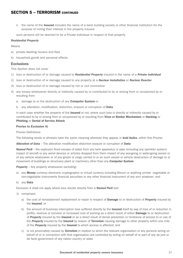### SECTION 5 - TERRORISM CONTINUED

ii. the name of the **Insured** includes the name of a bank building society or other financial institution for the purpose of noting their interest in the property insured

such persons will be deemed to be a Private Individual in respect of that property

#### *Residential Property*

Means

- a) private dwelling houses and flats
- b) household goods and personal effects

#### Exclusions

This Section does not cover

- 1) loss or destruction of or damage caused to *Residential Property* insured in the name of a *Private Individual*
- 2) loss or destruction of or damage caused to any property at a *Nuclear Installation* or *Nuclear Reactor*
- 3) loss or destruction of or damage caused by riot or civil commotion
- 4) any losses whatsoever directly or indirectly caused by or contributed to by or arising from or occasioned by or resulting from
	- a. damage to or the destruction of any Computer System or
	- b. any alteration, modification, distortion, erasure or corruption of Data

in each case whether the property of the Insured or not, where such loss is directly or indirectly caused by or contributed to by or arising from or occasioned by or resulting from Virus or Similar Mechanism or Hacking or Phishing or Denial of Service Attack

#### Proviso to Exclusion 4)

#### Proviso Definitions

The following words or phrases have the same meaning wherever they appear, in *bold italics*, within this Proviso

*Alteration of Data* – The alteration modification distortion erasure or corruption of Data

*Named Peril* – fire explosion flood escape of water from any tank apparatus or pipe (including any sprinkler system) impact of aircraft or any aerial devices or articles dropped from them impact of any sea-going or water-going vessel or of any vehicle whatsoever or of any goods or cargo carried in or on such vessel or vehicle destruction of damage to or movement of buildings or structures plant or machinery other than any Computer System

**Property** – Any property whatsoever excluding:

a) any **Money** currency electronic cryptographic or virtual currency including Bitcoin or anything similar negotiable or non-negotiable instruments financial securities or any other financial instrument of any sort whatever; and

#### b) any **Data**

Exclusion 4 shall not apply where loss results directly from a *Named Peril* and

- 1) comprises;
	- a) the cost of reinstatement replacement or repair in respect of Damage to or destruction of *Property* insured by the Insured; or
	- b) the amount of business interruption loss suffered directly by the **Insured** itself by way of loss of or reduction in profits, revenue or turnover or increased cost of working as a direct result of either **Damage** to or destruction of *Property* insured by the Insured or as a direct result of denial prevention or hindrance of access to or use of the *Property* insured by the Insured by reason of Terrorism causing damage to other property within one mile of the *Property* insured by the Insured to which access is affected; and
	- c) is not proximately caused by Terrorism in relation to which the relevant organisation or any persons acting on behalf of or in connection with that organisation are controlled by acting on behalf of or part of any de jure or de facto government of any nation country or state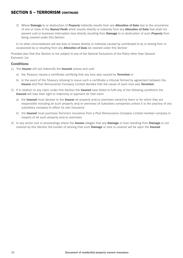### SECTION 5 - TERRORISM CONTINUED

2) Where Damage to or destruction of *Property* indirectly results from any *Alteration of Data* due to the occurrence of one or more of the *Named Perils* which results directly or indirectly from any *Alteration of Data* that shall not prevent cost or business interruption loss directly resulting from Damage to or destruction of such *Property* from being covered under this Section

In no other circumstances will any loss or losses directly or indirectly caused by contributed to by or arising from or occasioned by or resulting from any *Alteration of Data* be covered under this Section

Provided also that this Section is not subject to any of the General Exclusions of the Policy other than General Exclusion 1a)

#### **Conditions**

- 1) The **Insurer** will not indemnify the **Insured** unless and until
	- a) the Treasury issues a certificate certifying that any loss was caused by **Terrorism** or
	- b) in the event of the Treasury refusing to issue such a certificate a tribunal formed by agreement between the **Insurer** and Pool Reinsurance Company Limited decides that the cause of such loss was Terrorism
- 2) If in relation to any claim under this Section the Insured have failed to fulfil any of the following conditions the Insured will lose their right to indemnity or payment for that claim
	- a) the **Insured** must declare to the **Insurer** all property and/or premises owned by them or for which they are responsible including all such property and/or premises of subsidiary companies unless it is the practice of any subsidiary company to effect its own insurance
	- b) the Insured must purchase Terrorism insurance from a Pool Reinsurance Company Limited member company in respect of all such property and/or premises
- 3) In any action suit or proceedings where the Insurer alleges that any Damage or loss resulting from Damage is not covered by this Section the burden of proving that such **Damage** or loss is covered will be upon the Insured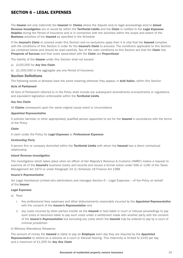### SECTION 6 - LEGAL EXPENSES

The Insurer will only indemnify the Insured for *Claims* where the dispute and/or legal proceedings and/or *Inland Revenue Investigation* are or would be within the Territorial Limits and the *Claim* is notified to the *Legal Expenses Helpline* during the Period of Insurance and is in connection with the activities within the scope and extent of the **Business** activities of the **Insured** as specified in the Schedule

If the *Insured's Claim* is covered under this Section and no exclusions apply then it is vital that the Insured complies with the conditions of this Section in order for the *Insured's Claim* to proceed. The conditions applicable to this Section are contained below and should be read carefully. Two of the main conditions to this Section are that the *Claim* has *Prospects of Success* and that costs associated with the *Claim* are *Proportional*

The liability of the Insurer under this Section shall not exceed

- a) £100,000 for *Any One Claim*
- b) £1,000,000 in the aggregate any one Period of Insurance

#### Section Definitions

The following words or phrases have the same meaning wherever they appear, in *bold italics*, within this Section

#### Acts of Parliament

All Acts of Parliament referred to in the Policy shall include any subsequent amendments re-enactments or regulations and equivalent legislation enforceable within the Territorial Limits

#### *Any One Claim*

All *Claims* consequent upon the same original cause event or circumstance

#### *Appointed Representative*

A solicitor barrister or other appropriately qualified person appointed to act for the **Insured** in accordance with the terms of the Policy

#### *Claim*

A claim under the Policy for *Legal Expenses* or *Professional Expenses*

#### *Contracting Party*

A person firm or company domiciled within the Territorial Limits with whom the Insured has a direct contractual relationship

#### *Inland Revenue Investigation*

The investigation which takes place when an officer of Her Majesty's Revenue & Customs (HMRC) makes a request to examine all of the **Insured's** business books and records and issues a formal notice under S9A or 12AC of the Taxes Management Act 1970 or under Paragraph 24 (1) Schedule 18 Finance Act 1988

#### *Insurer's Representative*

Arc Legal Assistance Limited who administers and manages Section 6 – Legal Expenses – of the Policy on behalf of the Insurer

#### *Legal Expenses*

- a) Fees
	- i. Any professional fees expenses and other disbursements reasonably incurred by the *Appointed Representative* with the consent of the *Insurer's Representative* and
	- ii. any costs incurred by other parties insofar as the Insured is held liable in court or tribunal proceedings to pay such costs or becomes liable to pay such costs under a settlement made with another party with the consent of the *Insurer's Representative* but excluding any costs which the Insured may be ordered to pay by a court of criminal jurisdiction

#### b) Witness Attendance Allowance

The amount of money the Insured is liable to pay an Employee each day they are required by the *Appointed Representative* to attend as a witness at a court or tribunal hearing. This indemnity is limited to £100 per day and a maximum of £1,000 for *Any One Claim*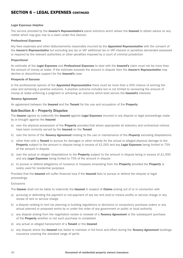#### *Legal Expenses Helpline*

The service provided by the *Insurer's Representative's* panel solicitors which allows the Insured to obtain advice on any matter which may give rise to a claim under this Section.

#### *Professional Expenses*

Any fees expenses and other disbursements reasonably incurred by the *Appointed Representative* with the consent of the *Insurer's Representative* but excluding any tax or VAT additional tax or VAT interest or penalties demanded assessed or required by the relevant authorities or other penalties imposed by a court of criminal jurisdiction

#### *Proportional*

An estimate of the *Legal Expenses* and *Professional Expenses* to deal with the Insured's claim must not be more than the amount of money at stake. If the estimate exceeds the amount in dispute then the *Insurer's Representative* may decline or discontinue support for the Insured's case

#### *Prospects of Success*

In the professional opinion of the *Appointed Representative* there must be more than a 50% chance of winning the case and achieving a positive outcome. A positive outcome includes but is not limited to recovering the amount of money at stake enforcing a judgment or achieving an outcome which best serves the Insured's interests

#### *Tenancy Agreement*

An agreement between the **Insured** and the Tenant for the use and occupation of the Property

#### Sub-Section A – Property Disputes

The Insurer agrees to indemnify the Insured against *Legal Expenses* incurred in any dispute or legal proceedings made by or brought against the Insured

- a) over the physical possession of the **Property** provided that where appropriate all statutory and contractual notices have been correctly served by the Insured on the Tenant
- b) over the terms of the *Tenancy Agreement* relating to the use or maintenance of the *Property* excluding dilapidations
- c) other than with a Tenant to pursue for damages or other remedy for the actual or alleged physical damage to the Property subject to the amount in dispute being in excess of £1,000 and any *Legal Expenses* being limited to 75% of the amount in dispute
- d) over the actual or alleged dilapidations to the **Property** subject to the amount in dispute being in excess of  $£1,000$ and any *Legal Expenses* being limited to 75% of the amount in dispute
- e) to pursue or defend allegations of nuisance or trespass emanating from the **Property** provided the **Property** is solely used for residential purposes

Provided that the Insured will suffer financial loss if the Insured fails to pursue or defend the dispute or legal proceedings

#### Exclusions

The Insurer shall not be liable to indemnify the Insured in respect of *Claims* arising out of or in connection with

- a) pursuing or defending the payment or non-payment of any tax rent and/or mesne profits or service charge or any review of rent or service charge
- b) a dispute relating to rent tax planning or building regulations or decisions or compulsory purchase orders or any actual planned or proposed works by or under the order of any government or public or local authority
- c) any dispute arising from the negotiation review or renewal of a *Tenancy Agreement* or the subsequent purchase of the **Property** whether or not such purchase is completed
- d) any actual or alleged harassment of a Tenant or the Insured
- e) any dispute where the Insured has failed to maintain in full force and effect during the *Tenancy Agreement* buildings insurance covering the standard range of perils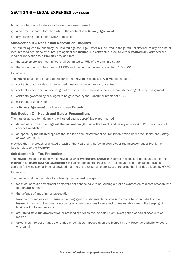- f) a dispute over subsidence or heave howsoever caused
- g) a contract dispute other than where the contract is a *Tenancy Agreement*
- h) any planning application review or decision

#### Sub-Section B – Repair and Renovation Disputes

The Insurer agrees to indemnify the Insured against *Legal Expenses* incurred in the pursuit or defence of any dispute or legal proceedings made by or brought against the Insured in a contractual dispute with a *Contracting Party* over the repair or renovation to a **Property** provided that

- a) the *Legal Expenses* indemnified shall be limited to 75% of the sum in dispute
- b) the amount in dispute exceeds £1,000 and the contract value is less than £100,000

#### Exclusions

The Insurer shall not be liable to indemnify the Insured in respect of Claims arising out of

- a) contracts that provide or arrange credit insurance securities or guarantees
- b) contracts where the liability or right of recovery of the **Insured** is incurred through their agent or by assignment
- c) contracts governed by or alleged to be governed by the Consumer Credit Act 1974
- d) contracts of employment
- e) a *Tenancy Agreement* or a license to use Property

#### Sub-Section C – Health and Safety Prosecutions

The Insurer agrees to indemnify the Insured against *Legal Expenses* incurred in

- a) defending a prosecution against the Insured brought under the Health and Safety at Work Act 1974 in a court of criminal jurisdiction
- b) an appeal by the **Insured** against the service of an Improvement or Prohibition Notice under the Health and Safety at Work Act 1974

provided that the breach or alleged breach of the Health and Safety at Work Act or the Improvement or Prohibition Notice relate to the Property

#### Sub-Section D – Tax Protection

The Insurer agrees to indemnify the Insured against *Professional Expenses* incurred in respect of representation of the Insured in an *Inland Revenue Investigation* including representation at a First-tier Tribunal and at an appeal against a decision following such a Tribunal provided that there is a reasonable prospect of reducing the liabilities alleged by HMRC

#### Exclusions

The Insurer shall not be liable to indemnify the Insured in respect of

- a) technical or routine treatment of matters not connected with nor arising out of an expression of dissatisfaction with the Insured's affairs
- b) the defence of any criminal prosecution
- c) taxation proceedings which arise out of negligent mis-statements or omissions made by or on behalf of the Insured in respect of returns or accounts or where there has been a lack of reasonable care in the keeping of business books and records
- d) any *Inland Revenue Investigation* or proceedings which results solely from investigation of earlier accounts or records
- e) taxes fines interest or any other duties or penalties imposed upon the Insured by any Revenue authority or court or tribunal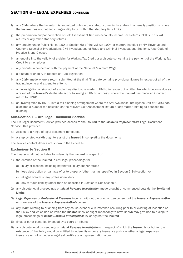- f) any *Claim* where the tax return is submitted outside the statutory time limits and/or in a penalty position or where the Insured has not notified chargeability to tax within the statutory time limits
- g) the preparation and/or correction of Self Assessment Returns accounts Income Tax Returns P11Ds P35s VAT returns or any other statutory returns
- h) any enquiry under Public Notice 160 or Section 60 of the VAT Act 1994 or matters handled by HM Revenue and Customs Specialist Investigations Civil Investigations of Fraud and Criminal Investigations Sections. Also Code of Practice 8 and 9 cases
- i) an enquiry into the validity of a claim for Working Tax Credit or a dispute concerning the payment of the Working Tax Credit by an employer
- j) any dispute in connection with the payment of the National Minimum Wage
- k) a dispute or enquiry in respect of IR35 legislation
- l) any *Claim* made where a return submitted at the final filing date contains provisional figures in respect of all of the trading income and expenditure items
- m) an investigation arising out of a voluntary disclosure made to HMRC in respect of omitted tax which become due as a result of the Insured's deliberate act or following an HMRC amnesty where the Insured has made an incorrect return to HMRC
- n) an investigation by HMRC into a tax planning arrangement where the Anti Avoidance Intelligence Unit of HMRC has allocated a number for inclusion on the relevant Self Assessment Return or any matter relating to bespoke tax planning

#### Sub-Section E – Arc Legal Document Service

The Arc Legal Document Service provides access to the Insured to the *Insurer's Representative* Legal Document Service. This provides:

- a) Access to a range of legal document templates
- b) A step by step walkthrough to assist the **Insured** in completing the documents

The service contact details are shown in the Schedule

#### Exclusions to Section 6

The **Insurer** shall not be liable to indemnify the **Insured** in respect of

- 1) the defence of the Insured in civil legal proceedings for
	- a) injury or disease including psychiatric injury and/or stress
	- b) loss destruction or damage of or to property (other than as specified in Section 6 Sub-section A)
	- c) alleged breach of any professional duty
	- d) any tortious liability (other than as specified in Section 6 Sub-section A)
- 2) any dispute legal proceedings or *Inland Revenue Investigation* made brought or commenced outside the Territorial Limits
- 3) *Legal Expenses* or *Professional Expenses* incurred without the prior written consent of the *Insurer's Representative* or in excess of the *Insurer's Representative's* consent
- 4) any *Claim* relating to or arising from any cause event or circumstance occurring prior to or existing at inception of the Policy and which has or which the Insured knew or ought reasonably to have known may give rise to a dispute legal proceedings or *Inland Revenue Investigations* by or against the Insured
- 5) fines or other penalties imposed by a court or tribunal
- 6) any dispute legal proceedings or *Inland Revenue Investigations* in respect of which the Insured is or but for the existence of the Policy would be entitled to indemnity under any insurance policy whether a legal expenses insurance or not or under a legal aid certificate or representation order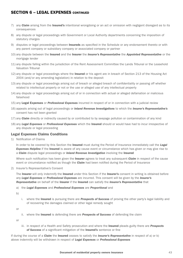- 7) any *Claim* arising from the Insured's intentional wrongdoing or an act or omission with negligent disregard as to its consequences
- 8) any dispute or legal proceedings with Government or Local Authority departments concerning the imposition of statutory charges
- 9) disputes or legal proceedings between **Insureds** as specified in the Schedule or any endorsement thereto or with any parent company or subsidiary company or associated company or partner
- 10) any dispute between the Insured and the Insurer the *Insurer's Representative* the *Appointed Representative* or the mortgage lender
- 11) any dispute falling within the jurisdiction of the Rent Assessment Committee the Lands Tribunal or the Leasehold Valuation Tribunal
- 12) any dispute or legal proceedings where the **Insured** or his agent are in breach of Section 213 of the Housing Act 2004 (and/or any amending legislation) in relation to the deposit
- 13) any dispute or legal proceedings arising out of breach or alleged breach of confidentiality or passing off whether related to intellectual property or not or the use or alleged use of any intellectual property
- 14) any dispute or legal proceedings arising out of or in connection with actual or alleged defamation or malicious falsehood
- 15) any Legal Expenses or *Professional Expenses* incurred in respect of or in connection with a judicial review
- 16) appeals arising out of legal proceedings or *Inland Revenue Investigations* to which the *Insurer's Representative's* consent has not been granted
- 17) any *Claim* directly or indirectly caused by or contributed to by seepage pollution or contamination of any kind
- 18) any *Legal Expenses* or *Professional Expenses* which the Insured should or would have had to incur irrespective of any dispute or legal proceeding

#### Legal Expenses Claims Conditions

1) Notification of Claims

 In order to be covered by this Section the Insured must during the Period of Insurance immediately call the *Legal*  **Expenses Helpline** if the **Insured** is aware of any cause event or circumstance which has given or may give rise to a *Claim* dispute legal proceedings or *Inland Revenue Investigation* involving the Insured

 Where such notification has been given the Insurer agrees to treat any subsequent *Claim* in respect of the cause event or circumstance notified as though the *Claim* had been notified during the Period of Insurance

2) Insurer's Representative's Consent

The Insurer will only indemnify the Insured under this Section if the Insurer's consent in writing is obtained before any *Legal Expenses* or *Professional Expenses* are incurred. This consent will be given by the *Insurer's Representative* on behalf of the Insurer if the Insured can satisfy the *Insurer's Representative* that

a) the *Legal Expenses* and *Professional Expenses* are *Proportional* and

b)

 i. where the Insured is pursuing there are *Prospects of Success* of proving the other party's legal liability and of recovering the damages claimed or other legal remedy sought

or

ii. where the Insured is defending there are *Prospects of Success* of defending the claim

or

 iii. in respect of a Health and Safety prosecution and where the Insured pleads guilty there are *Prospects of Success* of a significant mitigation of the Insured's sentence or fine

If during the course of a *Claim* the Insured ceases to satisfy the *Insurer's Representative* in respect of a) or b) above indemnity will be withdrawn in respect of *Legal Expenses* or *Professional Expenses*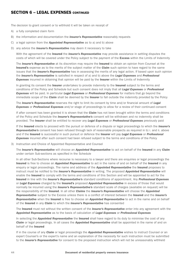The decision to grant consent or to withhold it will be taken on receipt of

- A) a fully completed claim form
- B) the information and documentation the *Insurer's Representative* reasonably requests
- C) a legal opinion from the *Appointed Representative* as to a) and b) above
- D) any advice the *Insurer's Representative* may deem it necessary to take

 With the agreement of the Insured the *Insurer's Representative* may provide assistance in settling disputes the costs of which will be covered under the Policy subject to the payment of the Excess within the Limits of Indemnity

 The *Insurer's Representative* at its discretion may require the Insured to obtain an opinion from Counsel at the Insured's expense as to the merits of the subject matter of the *Claim* such opinion to have regard to the same issues that the *Insurer's Representative* has in assessing the merits of any legal action. If based upon such opinion the *Insurer's Representative* is satisfied in respect of a) and b) above the *Legal Expenses* and *Professional*  **Expenses** incurred in obtaining that opinion will be paid by the **Insurer** within the Limits of Indemnity

In granting its consent the Insurer undertakes to provide indemnity to the Insured subject to the terms and conditions of the Policy and Schedule but such consent does not imply that all *Legal Expenses* or *Professional Expenses* will be paid. In particular *Legal Expenses* or *Professional Expenses* for matters that go beyond the immediate scope of the *Claim* shall be deemed by the Insurer to fall outside the indemnity provided by the Policy

 The *Insurer's Representative* reserves the right to limit its consent by time and/or financial amount of *Legal Expenses* or *Professional Expenses* and/or stage of proceedings to allow for a review of their continued consent

 If after consent has been granted it is shown that the *Claim* has not been brought within the terms and conditions of the Policy and Schedule the *Insurer's Representative's* consent will be withdrawn and no indemnity shall be provided. The Insurer shall be entitled to recover any *Legal Expenses* or *Professional Expenses* previously paid

 If the Insured elects to proceed with the pursuit or defence of a dispute or legal proceedings to which the *Insurer's Representative's* consent has been refused through lack of reasonable prospects as required in b) i. and ii. above and if the Insured is successful in such pursuit or defence the Insurer will pay *Legal Expenses* or *Professional Expenses* incurred after such consent had been refused subject to the terms and conditions of the Policy

3) Instruction and Choice of Appointed Representative and Counsel

 The *Insurer's Representative* will choose an *Appointed Representative* to act on behalf of the Insured in any *Claim* under certain Sub-sections as specified in the Schedule

In all other Sub-Sections where recourse is necessary to a lawyer and there are enquiries or legal proceedings the Insured is free to choose an *Appointed Representative* to act in the name of and on behalf of the Insured in any enquiry or legal proceedings. The name and address of the *Appointed Representative* the Insured proposes to instruct must be notified to the *Insurer's Representative* in writing. The proposed *Appointed Representative* will enable the **Insured** to comply with the terms and conditions of this Section and will be appointed to act for the Insured in line with the *Insurer's Representative's* standard conditions of appointment. Any *Professional Expenses* or *Legal Expenses* charged by the Insured's proposed *Appointed Representative* in excess of those that would normally be incurred using the *Insurer's Representative's* standard scale of charges (available on request) will be the responsibility of the Insured. In all other *Claims* the *Insurer's Representative* will choose the *Appointed Representative* subject to the Excess unless there is a conflict of interest between the Insured and the *Insurer's Representative* when the Insured is free to choose an *Appointed Representative* to act in the name and on behalf of the Insured in any *Claim* to which the *Insurer's Representative* has consented

 The Insured must not without the written consent of the *Insurer's Representative* enter into any agreement with the *Appointed Representative* as to the basis of calculation of *Legal Expenses* or *Professional Expenses*

 In selecting the *Appointed Representative* the Insured shall have regard to its duty to minimise the cost of any *Claim* or legal proceedings. In all cases the *Appointed Representative* shall be appointed in the name of and on behalf of the Insured

 If in the course of any *Claim* or legal proceedings the *Appointed Representative* wishes to instruct Counsel or an expert Counsel's or the expert's name and an explanation of the necessity for such instruction must be submitted to the *Insurer's Representative* for consent to the proposed instruction which will not be unreasonably withheld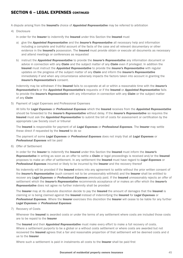A dispute arising from the Insured's choice of *Appointed Representative* may be referred to arbitration

#### 4) Disclosure

In order for the Insurer to indemnify the Insured under this Section the Insured must

- a) give the *Appointed Representative* and the *Insurer's Representative* all necessary help and information including a complete and truthful account of the facts of the case and all relevant documentary or other evidence in the Insured's possession. The Insured must provide obtain or execute all documents as necessary and attend meetings or conferences as requested
- b) instruct the *Appointed Representative* to provide the *Insurer's Representative* any information document or advice in connection with any *Claim* and the subject matter of any *Claim* even if privileged. In addition the Insured must instruct the *Appointed Representative* to provide the *Insurer's Representative* with regular updates on the progress of the subject matter of any *Claim* and inform the *Insurer's Representative* immediately if and when any circumstance adversely impacts the factors taken into account in granting the *Insurer's Representative's* consent.

 Indemnity may be withdrawn if the Insured fails to co-operate at all or within a reasonable time with the *Insurer's Representative's* or the *Appointed Representative's* requests or if the Insured or *Appointed Representative* fails to provide the *Insurer's Representative* with any information in connection with any *Claim* or the subject matter of any *Claim*

5) Payment of Legal Expenses and Professional Expenses

 All bills for *Legal Expenses* or *Professional Expenses* which the Insured receives from the *Appointed Representative* should be forwarded to the *Insurer's Representative* without delay. If the *Insurer's Representative* so requires the Insured must ask the *Appointed Representative* to submit the bill of costs for assessment or certification by the appropriate Law Society court or tribunal

 The Insured is responsible for payment of all *Legal Expenses* or *Professional Expenses*. The Insurer may settle these direct if requested by the Insured to do so

 The payment of some *Legal Expenses* or *Professional Expenses* does not imply that all *Legal Expenses* or *Professional Expenses* will be paid

6) Offer of Settlement

 In order for the Insurer to indemnify the Insured under this Section the Insured must inform the *Insurer's Representative* in writing as soon as an offer to settle a *Claim* or legal proceedings is received and/or the Insured proposes to make an offer of settlement. In any settlement the Insured must have regard to *Legal Expenses* or *Professional Expenses* incurred or likely to be incurred by the Insurer and the recovery thereof

No indemnity will be provided if the **Insured** enters into any agreement to settle without the prior written consent of the *Insurer's Representative* (such consent not to be unreasonably withheld) and the Insurer shall be entitled to recover any *Legal Expenses* or *Professional Expenses* previously paid. If the Insured unreasonably rejects an offer of settlement which the *Insurer's Representative* recommends acceptance of or makes an offer which the *Insurer's Representative* does not agree no further indemnity shall be provided

The Insurer may at its absolute discretion decide to pay the Insured the amount of damages that the Insured is claiming or is being claimed against the Insured instead of indemnifying the Insured for *Legal Expenses* or *Professional Expenses*. Where the Insurer exercises this discretion the Insurer will cease to be liable for any further *Legal Expenses* or *Professional Expenses*

7) Recovery of Costs

Whenever the Insured is awarded costs or under the terms of any settlement where costs are included those costs are to be repaid to the Insurer

 The Insured and their *Appointed Representative* must make every effort to make a full recovery of costs. Where a settlement purports to be a global or a without costs settlement or where costs are awarded but not recovered the **Insured** agrees that a fair and reasonable proportion of that settlement will be deemed costs and d ue to the Insurer

Where such a settlement is paid in instalments all costs to the **Insurer** shall be paid first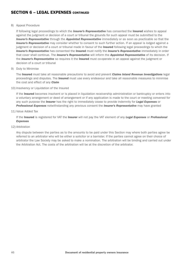#### 8) Appeal Procedure

 If following legal proceedings to which the *Insurer's Representative* has consented the Insured wishes to appeal against the judgment or decision of a court or tribunal the grounds for such appeal must be submitted to the *Insurer's Representative* through the *Appointed Representative* immediately or as soon as practicable so that the *Insurer's Representative* may consider whether to consent to such further action. If an appeal is lodged against a judgment or decision of a court or tribunal made in favour of the Insured following legal proceedings to which the *Insurer's Representative* has consented the Insured must notify the *Insurer's Representative* immediately in order that cover shall continue. The *Insurer's Representative* will inform the *Appointed Representative* of its decision. If the *Insurer's Representative* so requires it the Insured must co-operate in an appeal against the judgment or decision of a court or tribunal

9) Duty to Minimise

 The Insured must take all reasonable precautions to avoid and prevent *Claims Inland Revenue Investigations* legal proceedings and disputes. The Insured must use every endeavour and take all reasonable measures to minimise the cost and effect of any *Claim*

10) Insolvency or Liquidation of the Insured

If the Insured becomes insolvent or is placed in liquidation receivership administration or bankruptcy or enters into a voluntary arrangement or deed of arrangement or if any application is made to the court or meeting convened for any such purpose the Insurer has the right to immediately cease to provide indemnity for *Legal Expenses* or *Professional Expenses* notwithstanding any previous consent the *Insurer's Representative* may have granted

11) Value Added Tax

 If the Insured is registered for VAT the Insurer will not pay the VAT element of any *Legal Expenses* or *Professional Expenses*

12) Arbitration

 Any dispute between the parties as to the amounts to be paid under this Section may where both parties agree be referred to an arbitrator who will be either a solicitor or a barrister. If the parties cannot agree on their choice of arbitrator the Law Society may be asked to make a nomination. The arbitration will be binding and carried out under the Arbitration Act. The costs of the arbitration will be at the discretion of the arbitrator.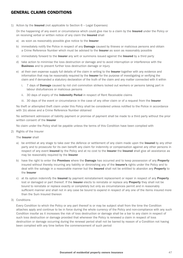### GENERAL CLAIMS CONDITIONS

1) Action by the **Insured** (not applicable to Section  $6 -$  Legal Expenses)

On the happening of any event or circumstance which could give rise to a claim by the **Insured** under the Policy or on receiving verbal or written notice of any claim the **Insured** shall

- a) as soon as reasonably possible give notice to the Insurer
- b) immediately notify the Police in respect of any **Damage** caused by thieves or malicious persons and obtain a Crime Reference Number which must be advised to the **Insurer** as soon as reasonably possible
- c) immediately forward to the Insurer any writ or summons issued against the Insured by a third party
- d) take action to minimise the loss destruction or damage and to avoid interruption or interference with the **Business** and to prevent further loss destruction damage or injury
- e) at their own expense supply full details of the claim in writing to the Insurer together with any evidence and information that may be reasonably required by the **Insurer** for the purpose of investigating or verifying the claim and if demanded a statutory declaration of the truth of the claim and any matter connected with it within
	- i. 7 days of **Damage** caused by riot civil commotion strikers locked out workers or persons taking part in labour disturbances or malicious persons
	- ii. 30 days of expiry of the Indemnity Period in respect of Rent Receivable claims
	- iii. 30 days of the event or circumstance in the case of any other claim or of a request from the Insurer

 No theft or attempted theft claim under this Policy shall be considered unless notified to the Police in accordance with 1b) above and a Crime Reference Number obtained

 No settlement admission of liability payment or promise of payment shall be made to a third party without the prior written consent of the **Insurer** 

No claim under the Policy shall be payable unless the terms of this Condition have been complied with

2) Rights of the Insurer

The **Insurer** shall

- a) be entitled at any stage to take over the defence or settlement of any claim made upon the **Insured** by any other party and to prosecute for its own benefit any claim for indemnity or compensation against any other persons in respect of any event insured by the Policy and at no cost to the Insurer the Insured shall give all assistance as may be reasonably required by the Insurer
- b) have the right to enter the Premises where the Damage has occurred and to keep possession of any Property insured without thereby incurring any liability or diminishing any of the Insurer's rights under the Policy and to deal with the salvage in a reasonable manner but the Insured shall not be entitled to abandon any Property to the Insurer
- c) at its option indemnify the Insured by payment reinstatement replacement or repair in respect of any Property lost or damaged or part thereof. If the Insurer elects to reinstate or replace any Property they shall not be bound to reinstate or replace exactly or completely but only as circumstances permit and in reasonably sufficient manner and shall not in any case be bound to expend in respect of any one of the items insured more than the Sum Insured thereon
- 3) Conditions

 Every Condition to which the Policy or any part thereof is or may be subject shall from the time the Condition attaches apply and continue to be in force during the whole currency of the Policy and non-compliance with any such Condition insofar as it increases the risk of loss destruction or damage shall be a bar to any claim in respect of such loss destruction or damage provided that whenever the Policy is renewed a claim in respect of loss destruction or damage occurring during the renewal period shall not be barred by reason of a Condition not having been complied with any time before the commencement of such period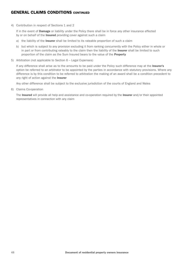### GENERAL CLAIMS CONDITIONS CONTINUED

4) Contribution in respect of Sections 1 and 2

If in the event of **Damage** or liability under the Policy there shall be in force any other insurance effected by or on behalf of the **Insured** providing cover against such a claim

- a) the liability of the **Insurer** shall be limited to its rateable proportion of such a claim
- b) but which is subject to any provision excluding it from ranking concurrently with the Policy either in whole or in part or from contributing rateably to the claim then the liability of the Insurer shall be limited to such proportion of the claim as the Sum Insured bears to the value of the **Property**
- 5) Arbitration (not applicable to Section 6 Legal Expenses)

If any difference shall arise as to the amounts to be paid under the Policy such difference may at the Insurer's option be referred to an arbitrator to be appointed by the parties in accordance with statutory provisions. Where any difference is by this condition to be referred to arbitration the making of an award shall be a condition precedent to any right of action against the Insurer

Any other difference shall be subject to the exclusive jurisdiction of the courts of England and Wales

6) Claims Co-operation

The Insured will provide all help and assistance and co-operation required by the Insurer and/or their appointed representatives in connection with any claim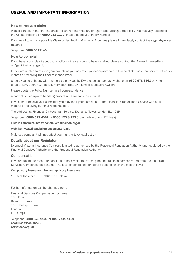### USEFUL AND IMPORTANT INFORMATION

#### How to make a claim

Please contact in the first instance the Broker Intermediary or Agent who arranged the Policy. Alternatively telephone the Claims Helpline on 0800 032 1170. Please quote your Policy Number

If you need to notify a possible Claim under Section 6 – Legal Expenses please immediately contact the *Legal Expenses Helpline*

Telephone 0800 0321145

#### How to complain

If you have a complaint about your policy or the service you have received please contact the Broker Intermediary or Agent that arranged it

If they are unable to resolve your complaint you may refer your complaint to the Financial Ombudsman Service within six months of receiving their final response letter

Should you be unhappy with the service provided by LV= please contact us by phone on 0800 678 3161 or write to us at LV=, County Gates, Bournemouth, BH1 2NF E-mail: feedback@LV.com

Please quote the Policy Number in all correspondence

A copy of our complaint handling procedure is available on request

If we cannot resolve your complaint you may refer your complaint to the Financial Ombudsman Service within six months of receiving our final response letter

The address is: Financial Ombudsman Service, Exchange Tower, London E14 9SR

Telephone: 0800 023 4567 or 0300 123 9 123 (from mobile or non BT lines)

E-mail: complaint.info@financial-ombudsman.org.uk

Website: www.financial-ombudsman.org.uk

Making a complaint will not affect your right to take legal action

#### Details about our Regulator

Liverpool Victoria Insurance Company Limited is authorised by the Prudential Regulation Authority and regulated by the Financial Conduct Authority and the Prudential Regulation Authority

#### Compensation

If we are unable to meet our liabilities to policyholders, you may be able to claim compensation from the Financial Services Compensation Scheme. The level of compensation differs depending on the type of cover:

#### Compulsory Insurance Non-compulsory Insurance

100% of the claim 90% of the claim

Further information can be obtained from:

Financial Services Compensation Scheme, 10th Floor Beaufort House 15 St Botolph Street London EC3A 7QU

Telephone 0800 678 1100 or 020 7741 4100 enquiries@fscs.org.uk www.fscs.org.uk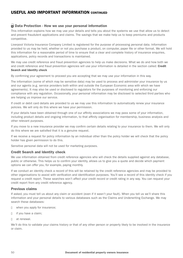### USEFUL AND IMPORTANT INFORMATION CONTINUED

#### ■ Data Protection - How we use your personal information

This information explains how we may use your details and tells you about the systems we use that allow us to detect and prevent fraudulent applications and claims. The savings that we make help us to keep premiums and products competitive.

Liverpool Victoria Insurance Company Limited is registered for the purpose of processing personal data. Information provided to us may be held, whether or not you purchase a product, on computer, paper file or other format. We will hold this information for a reasonable period of time to ensure that a clear and complete history of insurance enquiries, applications, policy records and transactions is maintained.

We may use credit reference and fraud prevention agencies to help us make decisions. What we do and how both we and credit reference and fraud prevention agencies will use your information is detailed in the section called: Credit Search and Identity check

By confirming your agreement to proceed you are accepting that we may use your information in this way.

The information (some of which may be sensitive data) may be used to process and administer your insurance by us and our agents (e.g. service providers both within and outside the European Economic area with which we have agreements). It may also be used or disclosed to regulators for the purposes of monitoring and enforcing our compliance with any regulation. Occasionally, your personal information may be disclosed to selected third parties who are helping us improve our service.

If credit or debit card details are provided to us we may use this information to automatically renew your insurance policies. We will only do this where we have your permission.

If your details have been obtained through one of our affinity associations we may pass some of your information, including product details and ongoing information, to that affinity organisation for membership, business analysis and other relevant purposes.

If you move to a new insurance provider we may confirm certain details relating to your insurance to them. We will only do this where we are satisfied that it is a genuine request.

If we receive a request for policy information by an individual other than the policy holder we will check that the policy holder has given permission to do this.

Sensitive personal data will not be used for marketing purposes.

#### Credit Search and Identity check

We use information obtained from credit reference agencies who will check the details supplied against any database, public or otherwise. This helps us to confirm your identity, allows us to give you a quote and decide which payment options we can offer you, for example, paying monthly.

If we conduct an identity check a record of this will be retained by the credit reference agencies and may be provided to other organisations to assist with verification and identification purposes. You'll see a record of this identity check if you request a credit report. These searches won't affect your credit record or credit rating in any way. You can request your credit report from any credit reference agency.

#### Previous claims

If asked, you must tell us about any claim or accident (even if it wasn't your fault). When you tell us we'll share this information and your personal details to various databases such as the Claims and Underwriting Exchange. We may search these databases:

- □ when you apply for insurance;
- n if you have a claim;
- n at renewal.

We'll do this to validate your claims history or that of any other person or property likely to be involved in the insurance or claim.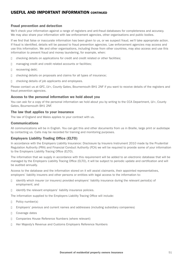### USEFUL AND IMPORTANT INFORMATION CONTINUED

#### Fraud prevention and detection

We'll check your information against a range of registers and anti-fraud databases for completeness and accuracy. We may also share your information with law enforcement agencies, other organisations and public bodies.

If we find that false or inaccurate information has been given to us, or we suspect fraud, we'll take appropriate action. If fraud is identified, details will be passed to fraud prevention agencies. Law enforcement agencies may access and use this information. We and other organisations, including those from other countries, may also access and use this information to prevent fraud and money laundering, for example, when:

- n checking details on applications for credit and credit related or other facilities;
- □ managing credit and credit related accounts or facilities;
- n recovering debt;
- n checking details on proposals and claims for all types of insurance;
- $\Box$  checking details of job applicants and employees.

Please contact us at GFC, LV=, County Gates, Bournemouth BH1 2NF if you want to receive details of the registers and fraud prevention agencies.

#### Access to the personal information we hold about you

You can ask for a copy of the personal information we hold about you by writing to the CCA Department, LV=, County Gates, Bournemouth BH1 2NF.

#### The law that applies to your insurance

The law of England and Wales applies to your contract with us.

#### Communications

All communications will be in English. You can get this and other documents from us in Braille, large print or audiotape by contacting us. Calls may be recorded for training and monitoring purposes.

#### Employers Liability Trading Office (ELTO)

In accordance with the Employers Liability Insurance: Disclosure by Insurers Instrument 2010 made by the Prudential Regulation Authority (PRA) and Financial Conduct Authority (FCA) we will be required to provide some of your information to the Employers Liability Tracing Office (ELTO).

The information that we supply in accordance with this requirement will be added to an electronic database that will be managed by the Employers Liability Tracing Office (ELTO), it will be subject to periodic update and certification and will be audited annually.

Access to the database and the information stored on it will assist claimants, their appointed representatives, employers' liability insurers and other persons or entities with legal access to the information to:

- n identify which insurer (or insurers) provided employers' liability insurance during the relevant period(s) of employment; and
- n identify the relevant employers' liability insurance policies.

The information supplied to the Employers Liability Tracing Office will include:

- D Policy number(s)
- n Employers' previous and current names and addresses (including subsidiary companies)
- n Coverage dates
- n Companies House Reference Numbers (where relevant)
- n Her Majesty's Revenue and Customs Employers Reference Numbers